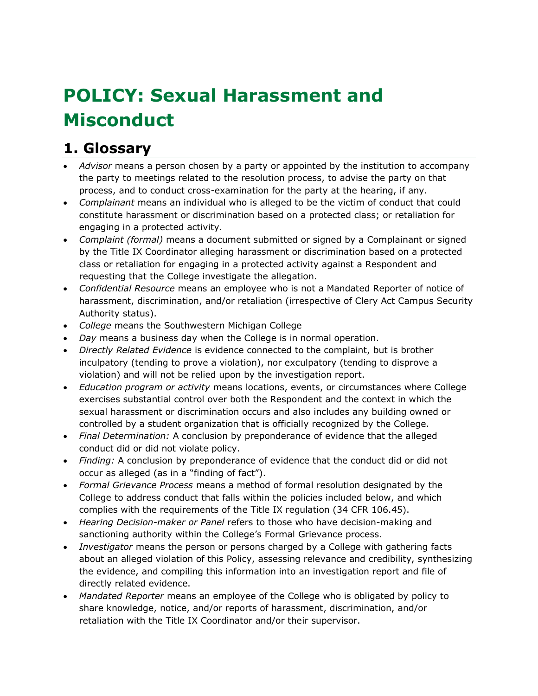# **POLICY: Sexual Harassment and Misconduct**

# **1. Glossary**

- *Advisor* means a person chosen by a party or appointed by the institution to accompany the party to meetings related to the resolution process, to advise the party on that process, and to conduct cross-examination for the party at the hearing, if any.
- *Complainant* means an individual who is alleged to be the victim of conduct that could constitute harassment or discrimination based on a protected class; or retaliation for engaging in a protected activity.
- *Complaint (formal)* means a document submitted or signed by a Complainant or signed by the Title IX Coordinator alleging harassment or discrimination based on a protected class or retaliation for engaging in a protected activity against a Respondent and requesting that the College investigate the allegation.
- *Confidential Resource* means an employee who is not a Mandated Reporter of notice of harassment, discrimination, and/or retaliation (irrespective of Clery Act Campus Security Authority status).
- *College* means the Southwestern Michigan College
- *Day* means a business day when the College is in normal operation.
- *Directly Related Evidence* is evidence connected to the complaint, but is brother inculpatory (tending to prove a violation), nor exculpatory (tending to disprove a violation) and will not be relied upon by the investigation report.
- *Education program or activity* means locations, events, or circumstances where College exercises substantial control over both the Respondent and the context in which the sexual harassment or discrimination occurs and also includes any building owned or controlled by a student organization that is officially recognized by the College.
- *Final Determination:* A conclusion by preponderance of evidence that the alleged conduct did or did not violate policy.
- *Finding:* A conclusion by preponderance of evidence that the conduct did or did not occur as alleged (as in a "finding of fact").
- *Formal Grievance Process* means a method of formal resolution designated by the College to address conduct that falls within the policies included below, and which complies with the requirements of the Title IX regulation (34 CFR 106.45).
- *Hearing Decision-maker or Panel* refers to those who have decision-making and sanctioning authority within the College's Formal Grievance process.
- *Investigator* means the person or persons charged by a College with gathering facts about an alleged violation of this Policy, assessing relevance and credibility, synthesizing the evidence, and compiling this information into an investigation report and file of directly related evidence.
- *Mandated Reporter* means an employee of the College who is obligated by policy to share knowledge, notice, and/or reports of harassment, discrimination, and/or retaliation with the Title IX Coordinator and/or their supervisor.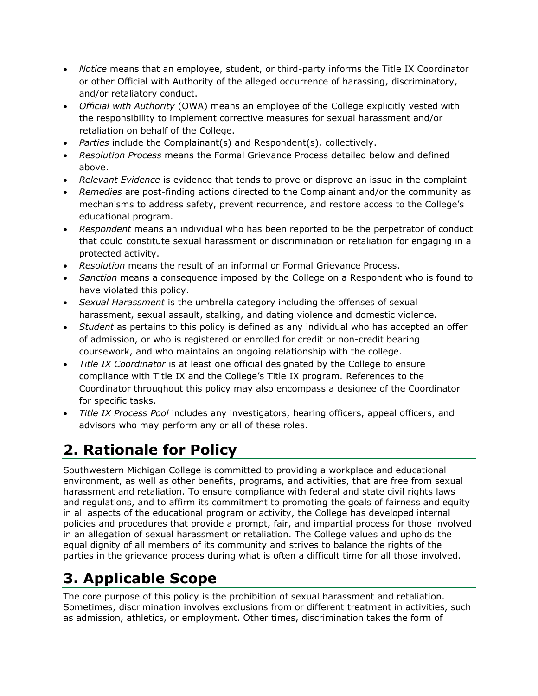- *Notice* means that an employee, student, or third-party informs the Title IX Coordinator or other Official with Authority of the alleged occurrence of harassing, discriminatory, and/or retaliatory conduct.
- *Official with Authority* (OWA) means an employee of the College explicitly vested with the responsibility to implement corrective measures for sexual harassment and/or retaliation on behalf of the College.
- *Parties* include the Complainant(s) and Respondent(s), collectively.
- *Resolution Process* means the Formal Grievance Process detailed below and defined above.
- *Relevant Evidence* is evidence that tends to prove or disprove an issue in the complaint
- *Remedies* are post-finding actions directed to the Complainant and/or the community as mechanisms to address safety, prevent recurrence, and restore access to the College's educational program.
- *Respondent* means an individual who has been reported to be the perpetrator of conduct that could constitute sexual harassment or discrimination or retaliation for engaging in a protected activity.
- *Resolution* means the result of an informal or Formal Grievance Process.
- *Sanction* means a consequence imposed by the College on a Respondent who is found to have violated this policy.
- *Sexual Harassment* is the umbrella category including the offenses of sexual harassment, sexual assault, stalking, and dating violence and domestic violence.
- *Student* as pertains to this policy is defined as any individual who has accepted an offer of admission, or who is registered or enrolled for credit or non-credit bearing coursework, and who maintains an ongoing relationship with the college.
- *Title IX Coordinator* is at least one official designated by the College to ensure compliance with Title IX and the College's Title IX program. References to the Coordinator throughout this policy may also encompass a designee of the Coordinator for specific tasks.
- *Title IX Process Pool* includes any investigators, hearing officers, appeal officers, and advisors who may perform any or all of these roles.

# **2. Rationale for Policy**

Southwestern Michigan College is committed to providing a workplace and educational environment, as well as other benefits, programs, and activities, that are free from sexual harassment and retaliation. To ensure compliance with federal and state civil rights laws and regulations, and to affirm its commitment to promoting the goals of fairness and equity in all aspects of the educational program or activity, the College has developed internal policies and procedures that provide a prompt, fair, and impartial process for those involved in an allegation of sexual harassment or retaliation. The College values and upholds the equal dignity of all members of its community and strives to balance the rights of the parties in the grievance process during what is often a difficult time for all those involved.

# **3. Applicable Scope**

The core purpose of this policy is the prohibition of sexual harassment and retaliation. Sometimes, discrimination involves exclusions from or different treatment in activities, such as admission, athletics, or employment. Other times, discrimination takes the form of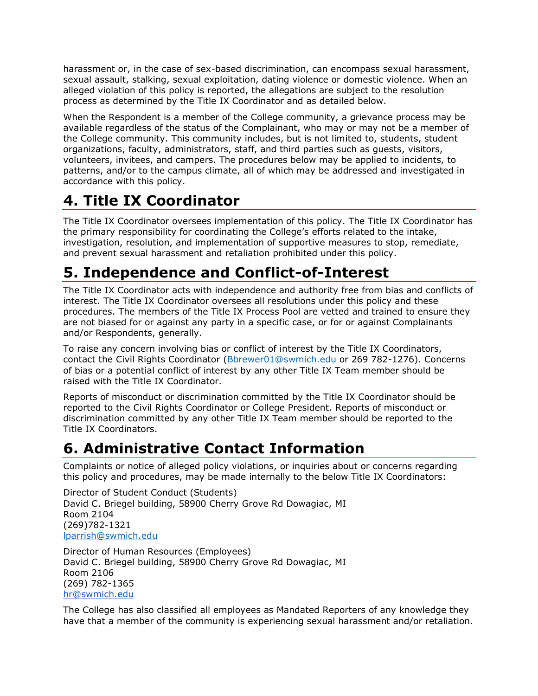harassment or, in the case of sex-based discrimination, can encompass sexual harassment, sexual assault, stalking, sexual exploitation, dating violence or domestic violence. When an alleged violation of this policy is reported, the allegations are subject to the resolution process as determined by the Title IX Coordinator and as detailed below.

When the Respondent is a member of the College community, a grievance process may be available regardless of the status of the Complainant, who may or may not be a member of the College community. This community includes, but is not limited to, students, student organizations, faculty, administrators, staff, and third parties such as guests, visitors, volunteers, invitees, and campers. The procedures below may be applied to incidents, to patterns, and/or to the campus climate, all of which may be addressed and investigated in accordance with this policy.

# **4. Title IX Coordinator**

The Title IX Coordinator oversees implementation of this policy. The Title IX Coordinator has the primary responsibility for coordinating the College's efforts related to the intake, investigation, resolution, and implementation of supportive measures to stop, remediate, and prevent sexual harassment and retaliation prohibited under this policy.

# **5. Independence and Conflict-of-Interest**

The Title IX Coordinator acts with independence and authority free from bias and conflicts of interest. The Title IX Coordinator oversees all resolutions under this policy and these procedures. The members of the Title IX Process Pool are vetted and trained to ensure they are not biased for or against any party in a specific case, or for or against Complainants and/or Respondents, generally.

To raise any concern involving bias or conflict of interest by the Title IX Coordinators, contact the Civil Rights Coordinator [\(Bbrewer01@swmich.edu](mailto:Bbrewer01@swmich.edu) or 269 782-1276). Concerns of bias or a potential conflict of interest by any other Title IX Team member should be raised with the Title IX Coordinator.

Reports of misconduct or discrimination committed by the Title IX Coordinator should be reported to the Civil Rights Coordinator or College President. Reports of misconduct or discrimination committed by any other Title IX Team member should be reported to the Title IX Coordinators.

# **6. Administrative Contact Information**

Complaints or notice of alleged policy violations, or inquiries about or concerns regarding this policy and procedures, may be made internally to the below Title IX Coordinators:

Director of Student Conduct (Students) David C. Briegel building, 58900 Cherry Grove Rd Dowagiac, MI Room 2104 (269)782-1321 [lparrish@swmich.edu](mailto:lparrish@swmich.edu)

Director of Human Resources (Employees) David C. Briegel building, 58900 Cherry Grove Rd Dowagiac, MI Room 2106 (269) 782-1365 [hr@swmich.edu](mailto:Hhess@swmich.edu)

The College has also classified all employees as Mandated Reporters of any knowledge they have that a member of the community is experiencing sexual harassment and/or retaliation.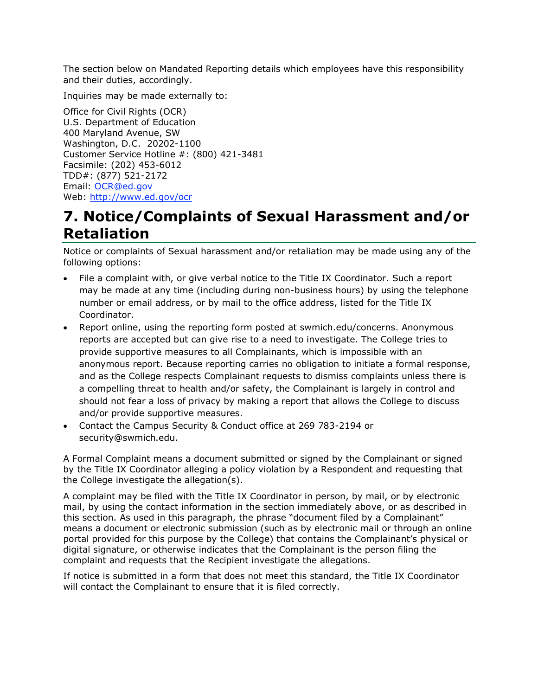The section below on Mandated Reporting details which employees have this responsibility and their duties, accordingly.

Inquiries may be made externally to:

Office for Civil Rights (OCR) U.S. Department of Education 400 Maryland Avenue, SW Washington, D.C. 20202-1100 Customer Service Hotline #: (800) 421-3481 Facsimile: (202) 453-6012 TDD#: (877) 521-2172 Email: [OCR@ed.gov](mailto:OCR@ed.gov) Web: [http://www.ed.gov/ocr](http://www2.ed.gov/about/offices/list/ocr/index.html)

### **7. Notice/Complaints of Sexual Harassment and/or Retaliation**

Notice or complaints of Sexual harassment and/or retaliation may be made using any of the following options:

- File a complaint with, or give verbal notice to the Title IX Coordinator. Such a report may be made at any time (including during non-business hours) by using the telephone number or email address, or by mail to the office address, listed for the Title IX Coordinator.
- Report online, using the reporting form posted at swmich.edu/concerns. Anonymous reports are accepted but can give rise to a need to investigate. The College tries to provide supportive measures to all Complainants, which is impossible with an anonymous report. Because reporting carries no obligation to initiate a formal response, and as the College respects Complainant requests to dismiss complaints unless there is a compelling threat to health and/or safety, the Complainant is largely in control and should not fear a loss of privacy by making a report that allows the College to discuss and/or provide supportive measures.
- Contact the Campus Security & Conduct office at 269 783-2194 or security@swmich.edu.

A Formal Complaint means a document submitted or signed by the Complainant or signed by the Title IX Coordinator alleging a policy violation by a Respondent and requesting that the College investigate the allegation(s).

A complaint may be filed with the Title IX Coordinator in person, by mail, or by electronic mail, by using the contact information in the section immediately above, or as described in this section. As used in this paragraph, the phrase "document filed by a Complainant" means a document or electronic submission (such as by electronic mail or through an online portal provided for this purpose by the College) that contains the Complainant's physical or digital signature, or otherwise indicates that the Complainant is the person filing the complaint and requests that the Recipient investigate the allegations.

If notice is submitted in a form that does not meet this standard, the Title IX Coordinator will contact the Complainant to ensure that it is filed correctly.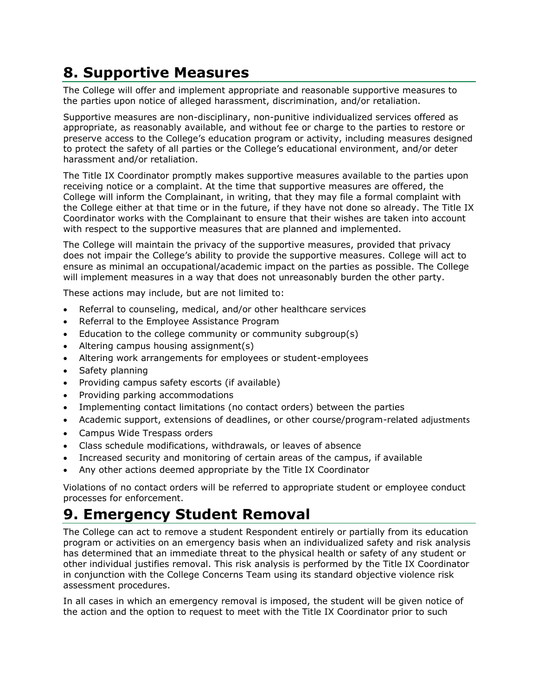# **8. Supportive Measures**

The College will offer and implement appropriate and reasonable supportive measures to the parties upon notice of alleged harassment, discrimination, and/or retaliation.

Supportive measures are non-disciplinary, non-punitive individualized services offered as appropriate, as reasonably available, and without fee or charge to the parties to restore or preserve access to the College's education program or activity, including measures designed to protect the safety of all parties or the College's educational environment, and/or deter harassment and/or retaliation.

The Title IX Coordinator promptly makes supportive measures available to the parties upon receiving notice or a complaint. At the time that supportive measures are offered, the College will inform the Complainant, in writing, that they may file a formal complaint with the College either at that time or in the future, if they have not done so already. The Title IX Coordinator works with the Complainant to ensure that their wishes are taken into account with respect to the supportive measures that are planned and implemented.

The College will maintain the privacy of the supportive measures, provided that privacy does not impair the College's ability to provide the supportive measures. College will act to ensure as minimal an occupational/academic impact on the parties as possible. The College will implement measures in a way that does not unreasonably burden the other party.

These actions may include, but are not limited to:

- Referral to counseling, medical, and/or other healthcare services
- Referral to the Employee Assistance Program
- Education to the college community or community subgroup(s)
- Altering campus housing assignment(s)
- Altering work arrangements for employees or student-employees
- Safety planning
- Providing campus safety escorts (if available)
- Providing parking accommodations
- Implementing contact limitations (no contact orders) between the parties
- Academic support, extensions of deadlines, or other course/program-related adjustments
- Campus Wide Trespass orders
- Class schedule modifications, withdrawals, or leaves of absence
- Increased security and monitoring of certain areas of the campus, if available
- Any other actions deemed appropriate by the Title IX Coordinator

Violations of no contact orders will be referred to appropriate student or employee conduct processes for enforcement.

#### **9. Emergency Student Removal**

The College can act to remove a student Respondent entirely or partially from its education program or activities on an emergency basis when an individualized safety and risk analysis has determined that an immediate threat to the physical health or safety of any student or other individual justifies removal. This risk analysis is performed by the Title IX Coordinator in conjunction with the College Concerns Team using its standard objective violence risk assessment procedures.

In all cases in which an emergency removal is imposed, the student will be given notice of the action and the option to request to meet with the Title IX Coordinator prior to such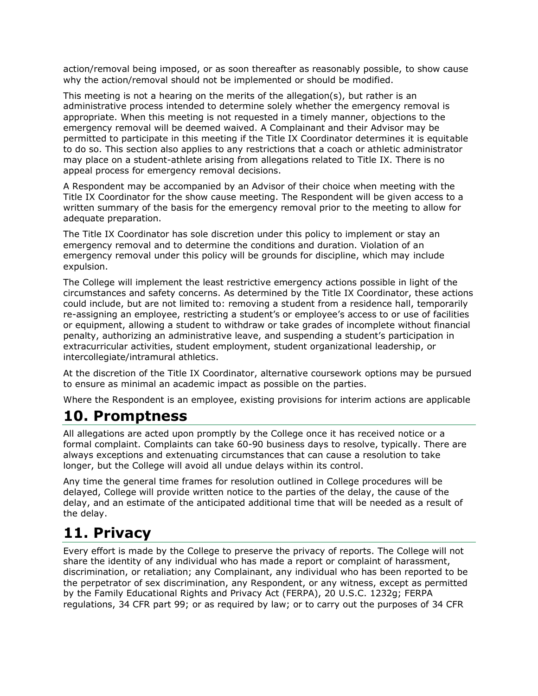action/removal being imposed, or as soon thereafter as reasonably possible, to show cause why the action/removal should not be implemented or should be modified.

This meeting is not a hearing on the merits of the allegation(s), but rather is an administrative process intended to determine solely whether the emergency removal is appropriate. When this meeting is not requested in a timely manner, objections to the emergency removal will be deemed waived. A Complainant and their Advisor may be permitted to participate in this meeting if the Title IX Coordinator determines it is equitable to do so. This section also applies to any restrictions that a coach or athletic administrator may place on a student-athlete arising from allegations related to Title IX. There is no appeal process for emergency removal decisions.

A Respondent may be accompanied by an Advisor of their choice when meeting with the Title IX Coordinator for the show cause meeting. The Respondent will be given access to a written summary of the basis for the emergency removal prior to the meeting to allow for adequate preparation.

The Title IX Coordinator has sole discretion under this policy to implement or stay an emergency removal and to determine the conditions and duration. Violation of an emergency removal under this policy will be grounds for discipline, which may include expulsion.

The College will implement the least restrictive emergency actions possible in light of the circumstances and safety concerns. As determined by the Title IX Coordinator, these actions could include, but are not limited to: removing a student from a residence hall, temporarily re-assigning an employee, restricting a student's or employee's access to or use of facilities or equipment, allowing a student to withdraw or take grades of incomplete without financial penalty, authorizing an administrative leave, and suspending a student's participation in extracurricular activities, student employment, student organizational leadership, or intercollegiate/intramural athletics.

At the discretion of the Title IX Coordinator, alternative coursework options may be pursued to ensure as minimal an academic impact as possible on the parties.

Where the Respondent is an employee, existing provisions for interim actions are applicable

#### **10. Promptness**

All allegations are acted upon promptly by the College once it has received notice or a formal complaint. Complaints can take 60-90 business days to resolve, typically. There are always exceptions and extenuating circumstances that can cause a resolution to take longer, but the College will avoid all undue delays within its control.

Any time the general time frames for resolution outlined in College procedures will be delayed, College will provide written notice to the parties of the delay, the cause of the delay, and an estimate of the anticipated additional time that will be needed as a result of the delay.

### **11. Privacy**

Every effort is made by the College to preserve the privacy of reports. The College will not share the identity of any individual who has made a report or complaint of harassment, discrimination, or retaliation; any Complainant, any individual who has been reported to be the perpetrator of sex discrimination, any Respondent, or any witness, except as permitted by the Family Educational Rights and Privacy Act (FERPA), 20 U.S.C. 1232g; FERPA regulations, 34 CFR part 99; or as required by law; or to carry out the purposes of 34 CFR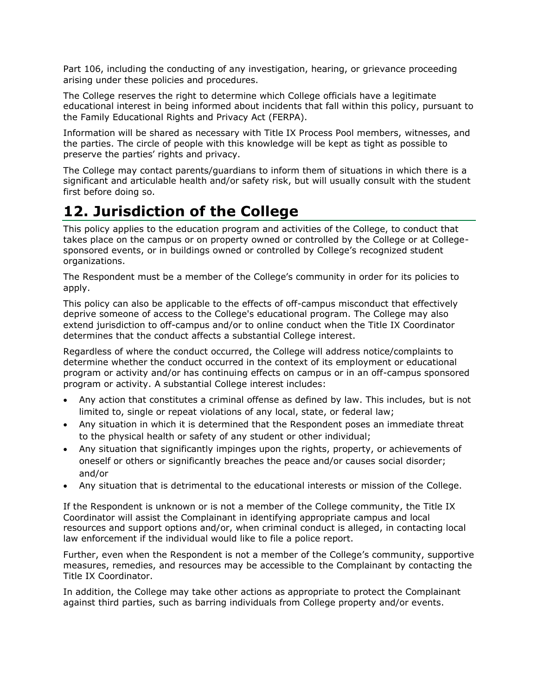Part 106, including the conducting of any investigation, hearing, or grievance proceeding arising under these policies and procedures.

The College reserves the right to determine which College officials have a legitimate educational interest in being informed about incidents that fall within this policy, pursuant to the Family Educational Rights and Privacy Act (FERPA).

Information will be shared as necessary with Title IX Process Pool members, witnesses, and the parties. The circle of people with this knowledge will be kept as tight as possible to preserve the parties' rights and privacy.

The College may contact parents/guardians to inform them of situations in which there is a significant and articulable health and/or safety risk, but will usually consult with the student first before doing so.

### **12. Jurisdiction of the College**

This policy applies to the education program and activities of the College, to conduct that takes place on the campus or on property owned or controlled by the College or at Collegesponsored events, or in buildings owned or controlled by College's recognized student organizations.

The Respondent must be a member of the College's community in order for its policies to apply.

This policy can also be applicable to the effects of off-campus misconduct that effectively deprive someone of access to the College's educational program. The College may also extend jurisdiction to off-campus and/or to online conduct when the Title IX Coordinator determines that the conduct affects a substantial College interest.

Regardless of where the conduct occurred, the College will address notice/complaints to determine whether the conduct occurred in the context of its employment or educational program or activity and/or has continuing effects on campus or in an off-campus sponsored program or activity. A substantial College interest includes:

- Any action that constitutes a criminal offense as defined by law. This includes, but is not limited to, single or repeat violations of any local, state, or federal law;
- Any situation in which it is determined that the Respondent poses an immediate threat to the physical health or safety of any student or other individual;
- Any situation that significantly impinges upon the rights, property, or achievements of oneself or others or significantly breaches the peace and/or causes social disorder; and/or
- Any situation that is detrimental to the educational interests or mission of the College.

If the Respondent is unknown or is not a member of the College community, the Title IX Coordinator will assist the Complainant in identifying appropriate campus and local resources and support options and/or, when criminal conduct is alleged, in contacting local law enforcement if the individual would like to file a police report.

Further, even when the Respondent is not a member of the College's community, supportive measures, remedies, and resources may be accessible to the Complainant by contacting the Title IX Coordinator.

In addition, the College may take other actions as appropriate to protect the Complainant against third parties, such as barring individuals from College property and/or events.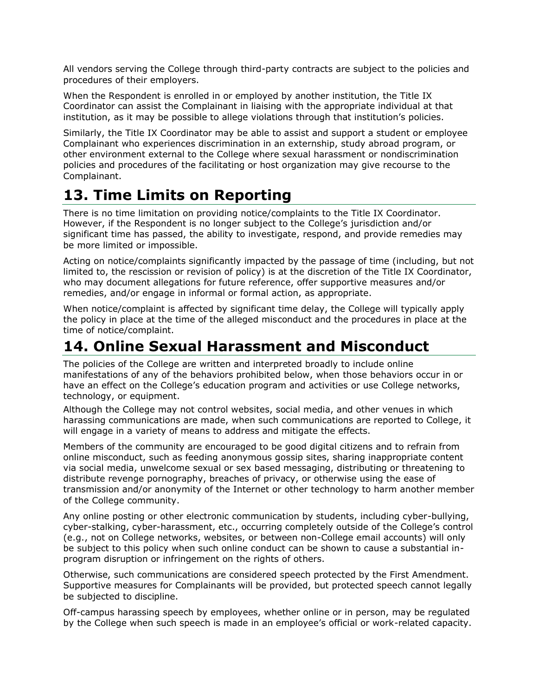All vendors serving the College through third-party contracts are subject to the policies and procedures of their employers.

When the Respondent is enrolled in or employed by another institution, the Title IX Coordinator can assist the Complainant in liaising with the appropriate individual at that institution, as it may be possible to allege violations through that institution's policies.

Similarly, the Title IX Coordinator may be able to assist and support a student or employee Complainant who experiences discrimination in an externship, study abroad program, or other environment external to the College where sexual harassment or nondiscrimination policies and procedures of the facilitating or host organization may give recourse to the Complainant.

### **13. Time Limits on Reporting**

There is no time limitation on providing notice/complaints to the Title IX Coordinator. However, if the Respondent is no longer subject to the College's jurisdiction and/or significant time has passed, the ability to investigate, respond, and provide remedies may be more limited or impossible.

Acting on notice/complaints significantly impacted by the passage of time (including, but not limited to, the rescission or revision of policy) is at the discretion of the Title IX Coordinator, who may document allegations for future reference, offer supportive measures and/or remedies, and/or engage in informal or formal action, as appropriate.

When notice/complaint is affected by significant time delay, the College will typically apply the policy in place at the time of the alleged misconduct and the procedures in place at the time of notice/complaint.

### **14. Online Sexual Harassment and Misconduct**

The policies of the College are written and interpreted broadly to include online manifestations of any of the behaviors prohibited below, when those behaviors occur in or have an effect on the College's education program and activities or use College networks, technology, or equipment.

Although the College may not control websites, social media, and other venues in which harassing communications are made, when such communications are reported to College, it will engage in a variety of means to address and mitigate the effects.

Members of the community are encouraged to be good digital citizens and to refrain from online misconduct, such as feeding anonymous gossip sites, sharing inappropriate content via social media, unwelcome sexual or sex based messaging, distributing or threatening to distribute revenge pornography, breaches of privacy, or otherwise using the ease of transmission and/or anonymity of the Internet or other technology to harm another member of the College community.

Any online posting or other electronic communication by students, including cyber-bullying, cyber-stalking, cyber-harassment, etc., occurring completely outside of the College's control (e.g., not on College networks, websites, or between non-College email accounts) will only be subject to this policy when such online conduct can be shown to cause a substantial inprogram disruption or infringement on the rights of others.

Otherwise, such communications are considered speech protected by the First Amendment. Supportive measures for Complainants will be provided, but protected speech cannot legally be subjected to discipline.

Off-campus harassing speech by employees, whether online or in person, may be regulated by the College when such speech is made in an employee's official or work-related capacity.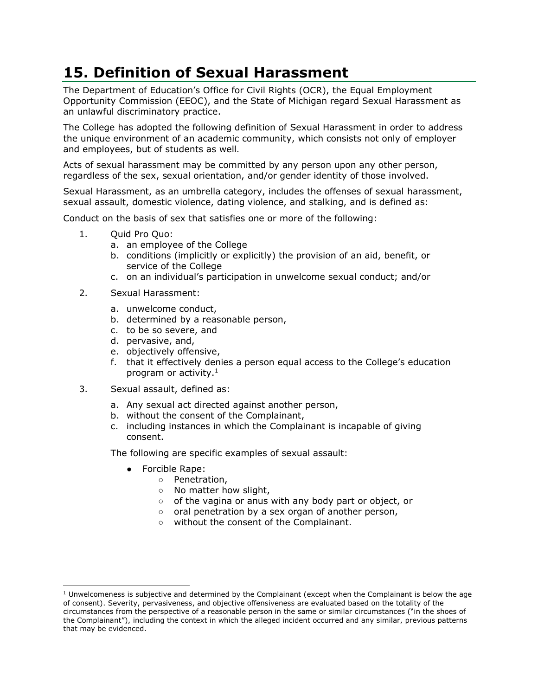# **15. Definition of Sexual Harassment**

The Department of Education's Office for Civil Rights (OCR), the Equal Employment Opportunity Commission (EEOC), and the State of Michigan regard Sexual Harassment as an unlawful discriminatory practice.

The College has adopted the following definition of Sexual Harassment in order to address the unique environment of an academic community, which consists not only of employer and employees, but of students as well.

Acts of sexual harassment may be committed by any person upon any other person, regardless of the sex, sexual orientation, and/or gender identity of those involved.

Sexual Harassment, as an umbrella category, includes the offenses of sexual harassment, sexual assault, domestic violence, dating violence, and stalking, and is defined as:

Conduct on the basis of sex that satisfies one or more of the following:

- 1. Ouid Pro Ouo:
	- a. an employee of the College
	- b. conditions (implicitly or explicitly) the provision of an aid, benefit, or service of the College
	- c. on an individual's participation in unwelcome sexual conduct; and/or
- 2. Sexual Harassment:
	- a. unwelcome conduct,
	- b. determined by a reasonable person,
	- c. to be so severe, and
	- d. pervasive, and,
	- e. objectively offensive,
	- f. that it effectively denies a person equal access to the College's education program or activity.<sup>1</sup>
- 3. Sexual assault, defined as:
	- a. Any sexual act directed against another person,
	- b. without the consent of the Complainant,
	- c. including instances in which the Complainant is incapable of giving consent.

The following are specific examples of sexual assault:

- Forcible Rape:
	- Penetration,
	- No matter how slight,
	- of the vagina or anus with any body part or object, or
	- oral penetration by a sex organ of another person,
	- without the consent of the Complainant.

 $1$  Unwelcomeness is subjective and determined by the Complainant (except when the Complainant is below the age of consent). Severity, pervasiveness, and objective offensiveness are evaluated based on the totality of the circumstances from the perspective of a reasonable person in the same or similar circumstances ("in the shoes of the Complainant"), including the context in which the alleged incident occurred and any similar, previous patterns that may be evidenced.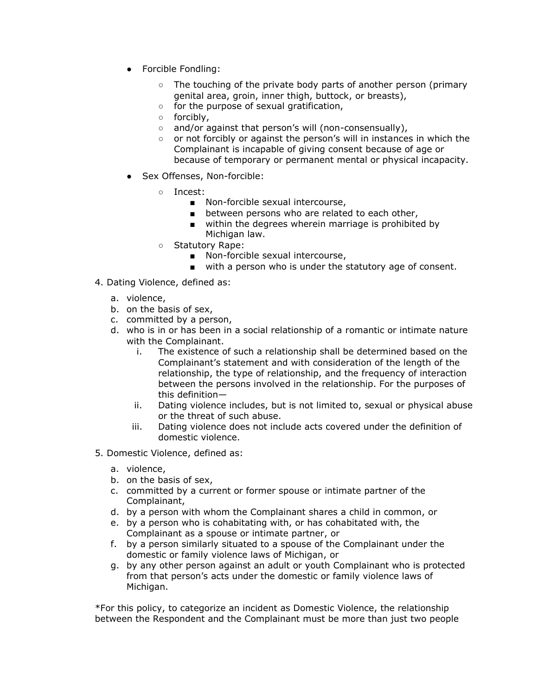- Forcible Fondling:
	- The touching of the private body parts of another person (primary genital area, groin, inner thigh, buttock, or breasts),
	- for the purpose of sexual gratification,
	- forcibly,
	- and/or against that person's will (non-consensually),
	- or not forcibly or against the person's will in instances in which the Complainant is incapable of giving consent because of age or because of temporary or permanent mental or physical incapacity.
- Sex Offenses, Non-forcible:
	- Incest:
		- Non-forcible sexual intercourse,
		- between persons who are related to each other,
		- within the degrees wherein marriage is prohibited by Michigan law.
	- Statutory Rape:
		- Non-forcible sexual intercourse,
		- with a person who is under the statutory age of consent.
- 4. Dating Violence, defined as:
	- a. violence,
	- b. on the basis of sex,
	- c. committed by a person,
	- d. who is in or has been in a social relationship of a romantic or intimate nature with the Complainant.
		- i. The existence of such a relationship shall be determined based on the Complainant's statement and with consideration of the length of the relationship, the type of relationship, and the frequency of interaction between the persons involved in the relationship. For the purposes of this definition—
		- ii. Dating violence includes, but is not limited to, sexual or physical abuse or the threat of such abuse.
		- iii. Dating violence does not include acts covered under the definition of domestic violence.
- 5. Domestic Violence, defined as:
	- a. violence,
	- b. on the basis of sex,
	- c. committed by a current or former spouse or intimate partner of the Complainant,
	- d. by a person with whom the Complainant shares a child in common, or
	- e. by a person who is cohabitating with, or has cohabitated with, the Complainant as a spouse or intimate partner, or
	- f. by a person similarly situated to a spouse of the Complainant under the domestic or family violence laws of Michigan, or
	- g. by any other person against an adult or youth Complainant who is protected from that person's acts under the domestic or family violence laws of Michigan.

\*For this policy, to categorize an incident as Domestic Violence, the relationship between the Respondent and the Complainant must be more than just two people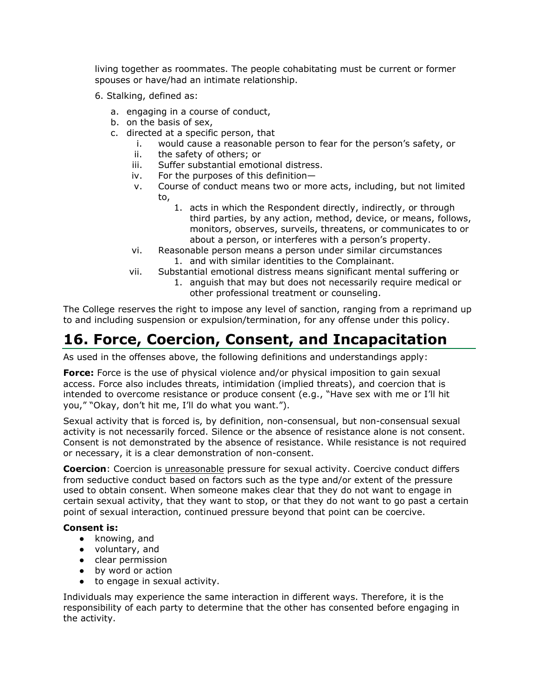living together as roommates. The people cohabitating must be current or former spouses or have/had an intimate relationship.

- 6. Stalking, defined as:
	- a. engaging in a course of conduct,
	- b. on the basis of sex,
	- c. directed at a specific person, that
		- i. would cause a reasonable person to fear for the person's safety, or
		- ii. the safety of others; or
		- iii. Suffer substantial emotional distress.
		- iv. For the purposes of this definition—
		- v. Course of conduct means two or more acts, including, but not limited to,
			- 1. acts in which the Respondent directly, indirectly, or through third parties, by any action, method, device, or means, follows, monitors, observes, surveils, threatens, or communicates to or about a person, or interferes with a person's property.
		- vi. Reasonable person means a person under similar circumstances 1. and with similar identities to the Complainant.
		- vii. Substantial emotional distress means significant mental suffering or
			- 1. anguish that may but does not necessarily require medical or other professional treatment or counseling.

The College reserves the right to impose any level of sanction, ranging from a reprimand up to and including suspension or expulsion/termination, for any offense under this policy.

### **16. Force, Coercion, Consent, and Incapacitation**

As used in the offenses above, the following definitions and understandings apply:

**Force:** Force is the use of physical violence and/or physical imposition to gain sexual access. Force also includes threats, intimidation (implied threats), and coercion that is intended to overcome resistance or produce consent (e.g., "Have sex with me or I'll hit you," "Okay, don't hit me, I'll do what you want.").

Sexual activity that is forced is, by definition, non-consensual, but non-consensual sexual activity is not necessarily forced. Silence or the absence of resistance alone is not consent. Consent is not demonstrated by the absence of resistance. While resistance is not required or necessary, it is a clear demonstration of non-consent.

**Coercion**: Coercion is *unreasonable* pressure for sexual activity. Coercive conduct differs from seductive conduct based on factors such as the type and/or extent of the pressure used to obtain consent. When someone makes clear that they do not want to engage in certain sexual activity, that they want to stop, or that they do not want to go past a certain point of sexual interaction, continued pressure beyond that point can be coercive.

#### **Consent is:**

- knowing, and
- voluntary, and
- clear permission
- by word or action
- to engage in sexual activity.

Individuals may experience the same interaction in different ways. Therefore, it is the responsibility of each party to determine that the other has consented before engaging in the activity.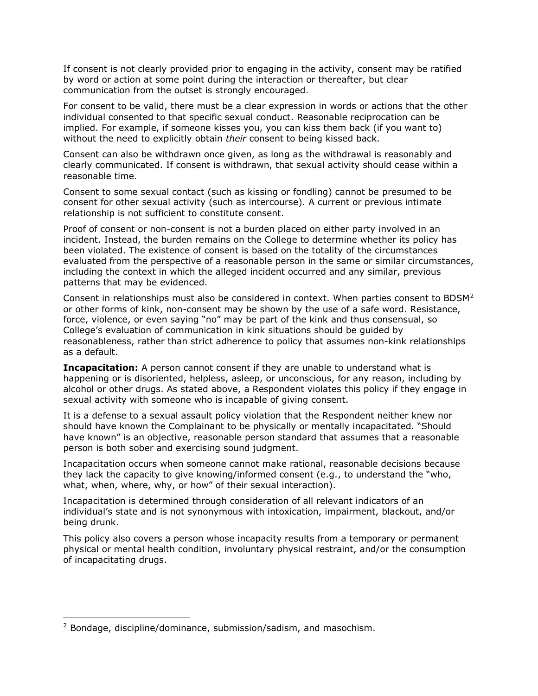If consent is not clearly provided prior to engaging in the activity, consent may be ratified by word or action at some point during the interaction or thereafter, but clear communication from the outset is strongly encouraged.

For consent to be valid, there must be a clear expression in words or actions that the other individual consented to that specific sexual conduct. Reasonable reciprocation can be implied. For example, if someone kisses you, you can kiss them back (if you want to) without the need to explicitly obtain *their* consent to being kissed back.

Consent can also be withdrawn once given, as long as the withdrawal is reasonably and clearly communicated. If consent is withdrawn, that sexual activity should cease within a reasonable time.

Consent to some sexual contact (such as kissing or fondling) cannot be presumed to be consent for other sexual activity (such as intercourse). A current or previous intimate relationship is not sufficient to constitute consent.

Proof of consent or non-consent is not a burden placed on either party involved in an incident. Instead, the burden remains on the College to determine whether its policy has been violated. The existence of consent is based on the totality of the circumstances evaluated from the perspective of a reasonable person in the same or similar circumstances, including the context in which the alleged incident occurred and any similar, previous patterns that may be evidenced.

Consent in relationships must also be considered in context. When parties consent to BDSM<sup>2</sup> or other forms of kink, non-consent may be shown by the use of a safe word. Resistance, force, violence, or even saying "no" may be part of the kink and thus consensual, so College's evaluation of communication in kink situations should be guided by reasonableness, rather than strict adherence to policy that assumes non-kink relationships as a default.

**Incapacitation:** A person cannot consent if they are unable to understand what is happening or is disoriented, helpless, asleep, or unconscious, for any reason, including by alcohol or other drugs. As stated above, a Respondent violates this policy if they engage in sexual activity with someone who is incapable of giving consent.

It is a defense to a sexual assault policy violation that the Respondent neither knew nor should have known the Complainant to be physically or mentally incapacitated. "Should have known" is an objective, reasonable person standard that assumes that a reasonable person is both sober and exercising sound judgment.

Incapacitation occurs when someone cannot make rational, reasonable decisions because they lack the capacity to give knowing/informed consent (e.g., to understand the "who, what, when, where, why, or how" of their sexual interaction).

Incapacitation is determined through consideration of all relevant indicators of an individual's state and is not synonymous with intoxication, impairment, blackout, and/or being drunk.

This policy also covers a person whose incapacity results from a temporary or permanent physical or mental health condition, involuntary physical restraint, and/or the consumption of incapacitating drugs.

<sup>2</sup> Bondage, discipline/dominance, submission/sadism, and masochism.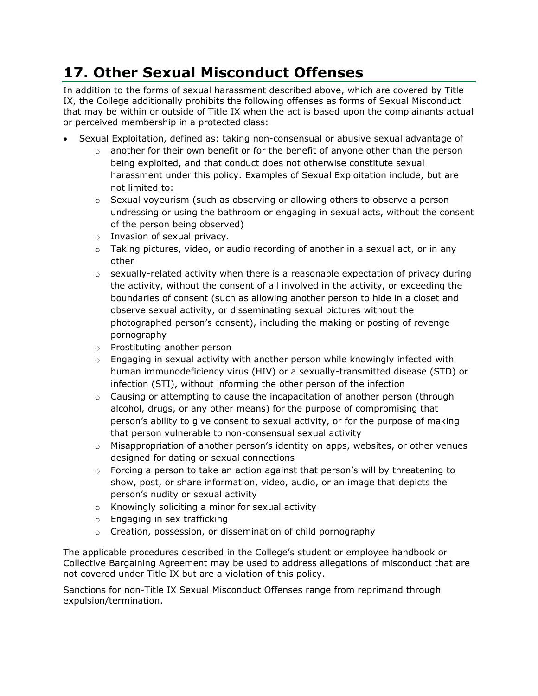# **17. Other Sexual Misconduct Offenses**

In addition to the forms of sexual harassment described above, which are covered by Title IX, the College additionally prohibits the following offenses as forms of Sexual Misconduct that may be within or outside of Title IX when the act is based upon the complainants actual or perceived membership in a protected class:

- Sexual Exploitation, defined as: taking non-consensual or abusive sexual advantage of
	- $\circ$  another for their own benefit or for the benefit of anyone other than the person being exploited, and that conduct does not otherwise constitute sexual harassment under this policy. Examples of Sexual Exploitation include, but are not limited to:
	- $\circ$  Sexual voyeurism (such as observing or allowing others to observe a person undressing or using the bathroom or engaging in sexual acts, without the consent of the person being observed)
	- o Invasion of sexual privacy.
	- $\circ$  Taking pictures, video, or audio recording of another in a sexual act, or in any other
	- $\circ$  sexually-related activity when there is a reasonable expectation of privacy during the activity, without the consent of all involved in the activity, or exceeding the boundaries of consent (such as allowing another person to hide in a closet and observe sexual activity, or disseminating sexual pictures without the photographed person's consent), including the making or posting of revenge pornography
	- o Prostituting another person
	- $\circ$  Engaging in sexual activity with another person while knowingly infected with human immunodeficiency virus (HIV) or a sexually-transmitted disease (STD) or infection (STI), without informing the other person of the infection
	- $\circ$  Causing or attempting to cause the incapacitation of another person (through alcohol, drugs, or any other means) for the purpose of compromising that person's ability to give consent to sexual activity, or for the purpose of making that person vulnerable to non-consensual sexual activity
	- $\circ$  Misappropriation of another person's identity on apps, websites, or other venues designed for dating or sexual connections
	- $\circ$  Forcing a person to take an action against that person's will by threatening to show, post, or share information, video, audio, or an image that depicts the person's nudity or sexual activity
	- o Knowingly soliciting a minor for sexual activity
	- o Engaging in sex trafficking
	- o Creation, possession, or dissemination of child pornography

The applicable procedures described in the College's student or employee handbook or Collective Bargaining Agreement may be used to address allegations of misconduct that are not covered under Title IX but are a violation of this policy.

Sanctions for non-Title IX Sexual Misconduct Offenses range from reprimand through expulsion/termination.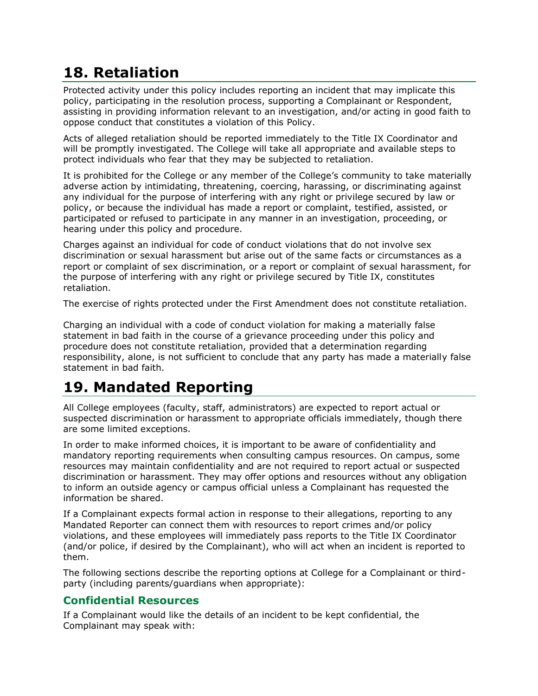# **18. Retaliation**

Protected activity under this policy includes reporting an incident that may implicate this policy, participating in the resolution process, supporting a Complainant or Respondent, assisting in providing information relevant to an investigation, and/or acting in good faith to oppose conduct that constitutes a violation of this Policy.

Acts of alleged retaliation should be reported immediately to the Title IX Coordinator and will be promptly investigated. The College will take all appropriate and available steps to protect individuals who fear that they may be subjected to retaliation.

It is prohibited for the College or any member of the College's community to take materially adverse action by intimidating, threatening, coercing, harassing, or discriminating against any individual for the purpose of interfering with any right or privilege secured by law or policy, or because the individual has made a report or complaint, testified, assisted, or participated or refused to participate in any manner in an investigation, proceeding, or hearing under this policy and procedure.

Charges against an individual for code of conduct violations that do not involve sex discrimination or sexual harassment but arise out of the same facts or circumstances as a report or complaint of sex discrimination, or a report or complaint of sexual harassment, for the purpose of interfering with any right or privilege secured by Title IX, constitutes retaliation.

The exercise of rights protected under the First Amendment does not constitute retaliation.

Charging an individual with a code of conduct violation for making a materially false statement in bad faith in the course of a grievance proceeding under this policy and procedure does not constitute retaliation, provided that a determination regarding responsibility, alone, is not sufficient to conclude that any party has made a materially false statement in bad faith.

# **19. Mandated Reporting**

All College employees (faculty, staff, administrators) are expected to report actual or suspected discrimination or harassment to appropriate officials immediately, though there are some limited exceptions.

In order to make informed choices, it is important to be aware of confidentiality and mandatory reporting requirements when consulting campus resources. On campus, some resources may maintain confidentiality and are not required to report actual or suspected discrimination or harassment. They may offer options and resources without any obligation to inform an outside agency or campus official unless a Complainant has requested the information be shared.

If a Complainant expects formal action in response to their allegations, reporting to any Mandated Reporter can connect them with resources to report crimes and/or policy violations, and these employees will immediately pass reports to the Title IX Coordinator (and/or police, if desired by the Complainant), who will act when an incident is reported to them.

The following sections describe the reporting options at College for a Complainant or thirdparty (including parents/guardians when appropriate):

#### **Confidential Resources**

If a Complainant would like the details of an incident to be kept confidential, the Complainant may speak with: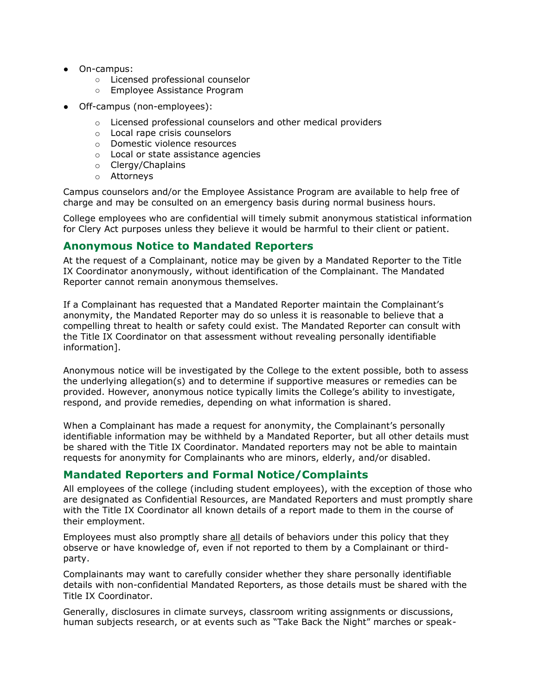- On-campus:
	- Licensed professional counselor
	- Employee Assistance Program
- Off-campus (non-employees):
	- o Licensed professional counselors and other medical providers
	- o Local rape crisis counselors
	- o Domestic violence resources
	- o Local or state assistance agencies
	- o Clergy/Chaplains
	- o Attorneys

Campus counselors and/or the Employee Assistance Program are available to help free of charge and may be consulted on an emergency basis during normal business hours.

College employees who are confidential will timely submit anonymous statistical information for Clery Act purposes unless they believe it would be harmful to their client or patient.

#### **Anonymous Notice to Mandated Reporters**

At the request of a Complainant, notice may be given by a Mandated Reporter to the Title IX Coordinator anonymously, without identification of the Complainant. The Mandated Reporter cannot remain anonymous themselves.

If a Complainant has requested that a Mandated Reporter maintain the Complainant's anonymity, the Mandated Reporter may do so unless it is reasonable to believe that a compelling threat to health or safety could exist. The Mandated Reporter can consult with the Title IX Coordinator on that assessment without revealing personally identifiable information].

Anonymous notice will be investigated by the College to the extent possible, both to assess the underlying allegation(s) and to determine if supportive measures or remedies can be provided. However, anonymous notice typically limits the College's ability to investigate, respond, and provide remedies, depending on what information is shared.

When a Complainant has made a request for anonymity, the Complainant's personally identifiable information may be withheld by a Mandated Reporter, but all other details must be shared with the Title IX Coordinator. Mandated reporters may not be able to maintain requests for anonymity for Complainants who are minors, elderly, and/or disabled.

#### **Mandated Reporters and Formal Notice/Complaints**

All employees of the college (including student employees), with the exception of those who are designated as Confidential Resources, are Mandated Reporters and must promptly share with the Title IX Coordinator all known details of a report made to them in the course of their employment.

Employees must also promptly share all details of behaviors under this policy that they observe or have knowledge of, even if not reported to them by a Complainant or thirdparty.

Complainants may want to carefully consider whether they share personally identifiable details with non-confidential Mandated Reporters, as those details must be shared with the Title IX Coordinator.

Generally, disclosures in climate surveys, classroom writing assignments or discussions, human subjects research, or at events such as "Take Back the Night" marches or speak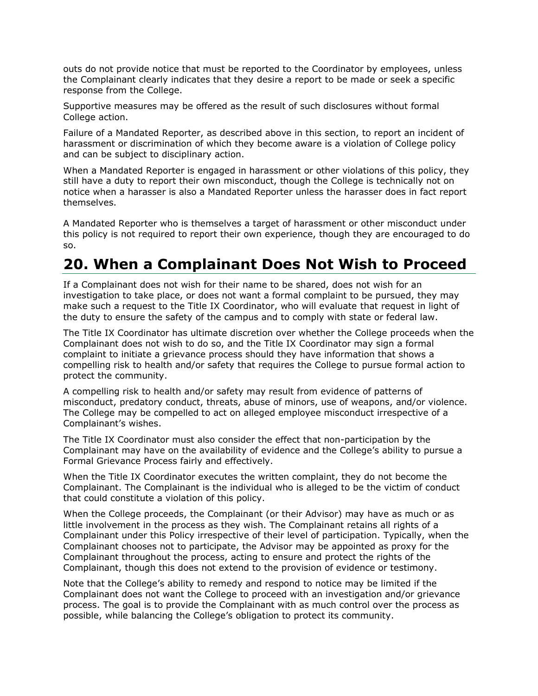outs do not provide notice that must be reported to the Coordinator by employees, unless the Complainant clearly indicates that they desire a report to be made or seek a specific response from the College.

Supportive measures may be offered as the result of such disclosures without formal College action.

Failure of a Mandated Reporter, as described above in this section, to report an incident of harassment or discrimination of which they become aware is a violation of College policy and can be subject to disciplinary action.

When a Mandated Reporter is engaged in harassment or other violations of this policy, they still have a duty to report their own misconduct, though the College is technically not on notice when a harasser is also a Mandated Reporter unless the harasser does in fact report themselves.

A Mandated Reporter who is themselves a target of harassment or other misconduct under this policy is not required to report their own experience, though they are encouraged to do so.

#### **20. When a Complainant Does Not Wish to Proceed**

If a Complainant does not wish for their name to be shared, does not wish for an investigation to take place, or does not want a formal complaint to be pursued, they may make such a request to the Title IX Coordinator, who will evaluate that request in light of the duty to ensure the safety of the campus and to comply with state or federal law.

The Title IX Coordinator has ultimate discretion over whether the College proceeds when the Complainant does not wish to do so, and the Title IX Coordinator may sign a formal complaint to initiate a grievance process should they have information that shows a compelling risk to health and/or safety that requires the College to pursue formal action to protect the community.

A compelling risk to health and/or safety may result from evidence of patterns of misconduct, predatory conduct, threats, abuse of minors, use of weapons, and/or violence. The College may be compelled to act on alleged employee misconduct irrespective of a Complainant's wishes.

The Title IX Coordinator must also consider the effect that non-participation by the Complainant may have on the availability of evidence and the College's ability to pursue a Formal Grievance Process fairly and effectively.

When the Title IX Coordinator executes the written complaint, they do not become the Complainant. The Complainant is the individual who is alleged to be the victim of conduct that could constitute a violation of this policy.

When the College proceeds, the Complainant (or their Advisor) may have as much or as little involvement in the process as they wish. The Complainant retains all rights of a Complainant under this Policy irrespective of their level of participation. Typically, when the Complainant chooses not to participate, the Advisor may be appointed as proxy for the Complainant throughout the process, acting to ensure and protect the rights of the Complainant, though this does not extend to the provision of evidence or testimony.

Note that the College's ability to remedy and respond to notice may be limited if the Complainant does not want the College to proceed with an investigation and/or grievance process. The goal is to provide the Complainant with as much control over the process as possible, while balancing the College's obligation to protect its community.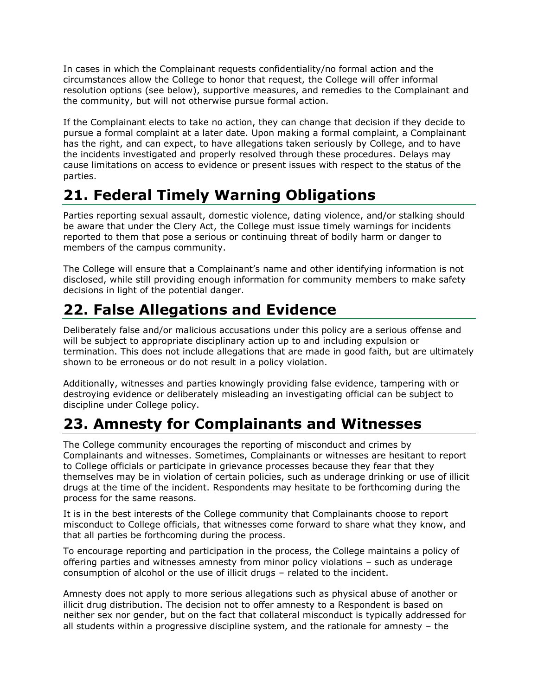In cases in which the Complainant requests confidentiality/no formal action and the circumstances allow the College to honor that request, the College will offer informal resolution options (see below), supportive measures, and remedies to the Complainant and the community, but will not otherwise pursue formal action.

If the Complainant elects to take no action, they can change that decision if they decide to pursue a formal complaint at a later date. Upon making a formal complaint, a Complainant has the right, and can expect, to have allegations taken seriously by College, and to have the incidents investigated and properly resolved through these procedures. Delays may cause limitations on access to evidence or present issues with respect to the status of the parties.

# **21. Federal Timely Warning Obligations**

Parties reporting sexual assault, domestic violence, dating violence, and/or stalking should be aware that under the Clery Act, the College must issue timely warnings for incidents reported to them that pose a serious or continuing threat of bodily harm or danger to members of the campus community.

The College will ensure that a Complainant's name and other identifying information is not disclosed, while still providing enough information for community members to make safety decisions in light of the potential danger.

# **22. False Allegations and Evidence**

Deliberately false and/or malicious accusations under this policy are a serious offense and will be subject to appropriate disciplinary action up to and including expulsion or termination. This does not include allegations that are made in good faith, but are ultimately shown to be erroneous or do not result in a policy violation.

Additionally, witnesses and parties knowingly providing false evidence, tampering with or destroying evidence or deliberately misleading an investigating official can be subject to discipline under College policy.

### **23. Amnesty for Complainants and Witnesses**

The College community encourages the reporting of misconduct and crimes by Complainants and witnesses. Sometimes, Complainants or witnesses are hesitant to report to College officials or participate in grievance processes because they fear that they themselves may be in violation of certain policies, such as underage drinking or use of illicit drugs at the time of the incident. Respondents may hesitate to be forthcoming during the process for the same reasons.

It is in the best interests of the College community that Complainants choose to report misconduct to College officials, that witnesses come forward to share what they know, and that all parties be forthcoming during the process.

To encourage reporting and participation in the process, the College maintains a policy of offering parties and witnesses amnesty from minor policy violations – such as underage consumption of alcohol or the use of illicit drugs – related to the incident.

Amnesty does not apply to more serious allegations such as physical abuse of another or illicit drug distribution. The decision not to offer amnesty to a Respondent is based on neither sex nor gender, but on the fact that collateral misconduct is typically addressed for all students within a progressive discipline system, and the rationale for amnesty – the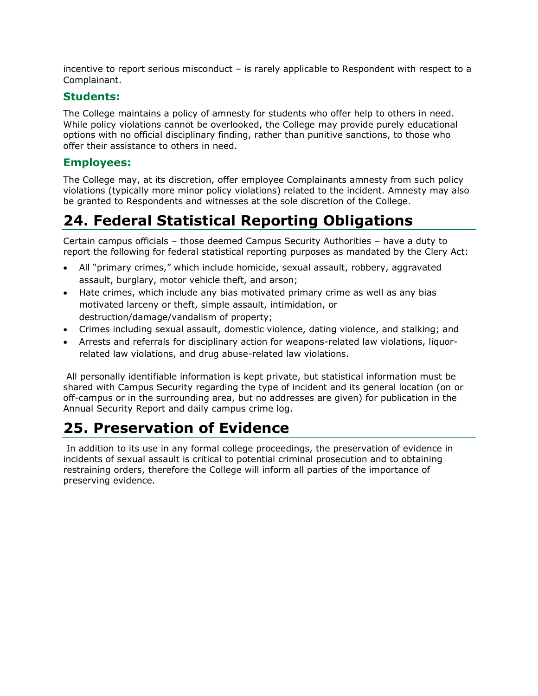incentive to report serious misconduct – is rarely applicable to Respondent with respect to a Complainant.

#### **Students:**

The College maintains a policy of amnesty for students who offer help to others in need. While policy violations cannot be overlooked, the College may provide purely educational options with no official disciplinary finding, rather than punitive sanctions, to those who offer their assistance to others in need.

#### **Employees:**

The College may, at its discretion, offer employee Complainants amnesty from such policy violations (typically more minor policy violations) related to the incident. Amnesty may also be granted to Respondents and witnesses at the sole discretion of the College.

# **24. Federal Statistical Reporting Obligations**

Certain campus officials – those deemed Campus Security Authorities – have a duty to report the following for federal statistical reporting purposes as mandated by the Clery Act:

- All "primary crimes," which include homicide, sexual assault, robbery, aggravated assault, burglary, motor vehicle theft, and arson;
- Hate crimes, which include any bias motivated primary crime as well as any bias motivated larceny or theft, simple assault, intimidation, or destruction/damage/vandalism of property;
- Crimes including sexual assault, domestic violence, dating violence, and stalking; and
- Arrests and referrals for disciplinary action for weapons-related law violations, liquorrelated law violations, and drug abuse-related law violations.

All personally identifiable information is kept private, but statistical information must be shared with Campus Security regarding the type of incident and its general location (on or off-campus or in the surrounding area, but no addresses are given) for publication in the Annual Security Report and daily campus crime log.

### **25. Preservation of Evidence**

In addition to its use in any formal college proceedings, the preservation of evidence in incidents of sexual assault is critical to potential criminal prosecution and to obtaining restraining orders, therefore the College will inform all parties of the importance of preserving evidence.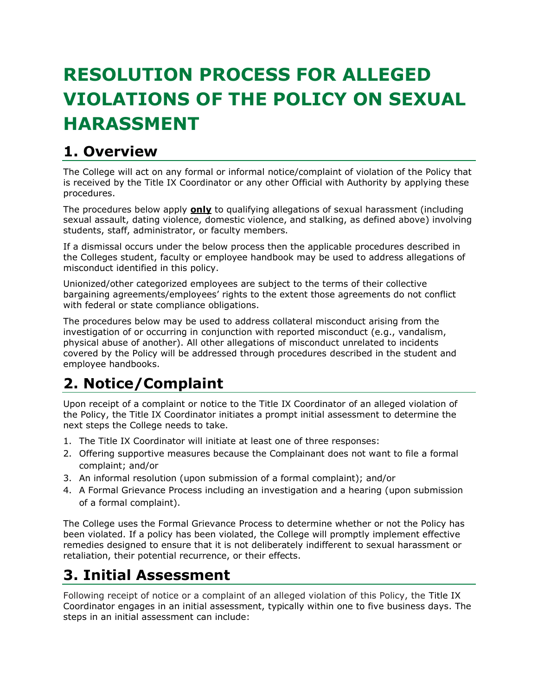# **RESOLUTION PROCESS FOR ALLEGED VIOLATIONS OF THE POLICY ON SEXUAL HARASSMENT**

# **1. Overview**

The College will act on any formal or informal notice/complaint of violation of the Policy that is received by the Title IX Coordinator or any other Official with Authority by applying these procedures.

The procedures below apply **only** to qualifying allegations of sexual harassment (including sexual assault, dating violence, domestic violence, and stalking, as defined above) involving students, staff, administrator, or faculty members.

If a dismissal occurs under the below process then the applicable procedures described in the Colleges student, faculty or employee handbook may be used to address allegations of misconduct identified in this policy.

Unionized/other categorized employees are subject to the terms of their collective bargaining agreements/employees' rights to the extent those agreements do not conflict with federal or state compliance obligations.

The procedures below may be used to address collateral misconduct arising from the investigation of or occurring in conjunction with reported misconduct (e.g., vandalism, physical abuse of another). All other allegations of misconduct unrelated to incidents covered by the Policy will be addressed through procedures described in the student and employee handbooks.

# **2. Notice/Complaint**

Upon receipt of a complaint or notice to the Title IX Coordinator of an alleged violation of the Policy, the Title IX Coordinator initiates a prompt initial assessment to determine the next steps the College needs to take.

- 1. The Title IX Coordinator will initiate at least one of three responses:
- 2. Offering supportive measures because the Complainant does not want to file a formal complaint; and/or
- 3. An informal resolution (upon submission of a formal complaint); and/or
- 4. A Formal Grievance Process including an investigation and a hearing (upon submission of a formal complaint).

The College uses the Formal Grievance Process to determine whether or not the Policy has been violated. If a policy has been violated, the College will promptly implement effective remedies designed to ensure that it is not deliberately indifferent to sexual harassment or retaliation, their potential recurrence, or their effects.

# **3. Initial Assessment**

Following receipt of notice or a complaint of an alleged violation of this Policy, the Title IX Coordinator engages in an initial assessment, typically within one to five business days. The steps in an initial assessment can include: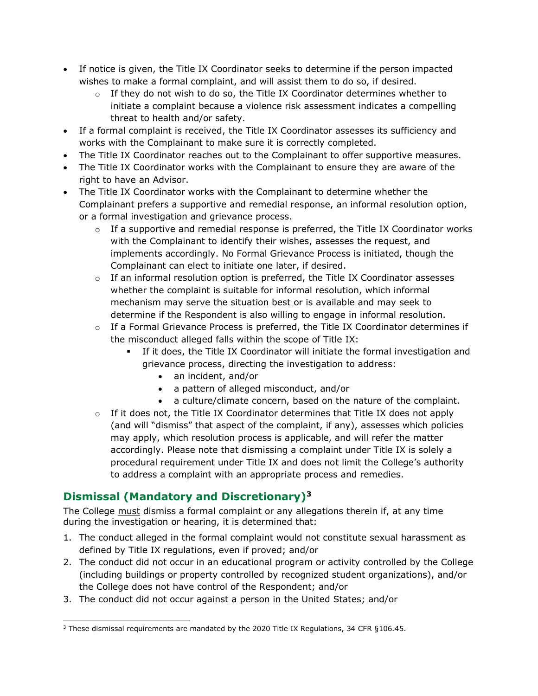- If notice is given, the Title IX Coordinator seeks to determine if the person impacted wishes to make a formal complaint, and will assist them to do so, if desired.
	- $\circ$  If they do not wish to do so, the Title IX Coordinator determines whether to initiate a complaint because a violence risk assessment indicates a compelling threat to health and/or safety.
- If a formal complaint is received, the Title IX Coordinator assesses its sufficiency and works with the Complainant to make sure it is correctly completed.
- The Title IX Coordinator reaches out to the Complainant to offer supportive measures.
- The Title IX Coordinator works with the Complainant to ensure they are aware of the right to have an Advisor.
- The Title IX Coordinator works with the Complainant to determine whether the Complainant prefers a supportive and remedial response, an informal resolution option, or a formal investigation and grievance process.
	- $\circ$  If a supportive and remedial response is preferred, the Title IX Coordinator works with the Complainant to identify their wishes, assesses the request, and implements accordingly. No Formal Grievance Process is initiated, though the Complainant can elect to initiate one later, if desired.
	- $\circ$  If an informal resolution option is preferred, the Title IX Coordinator assesses whether the complaint is suitable for informal resolution, which informal mechanism may serve the situation best or is available and may seek to determine if the Respondent is also willing to engage in informal resolution.
	- $\circ$  If a Formal Grievance Process is preferred, the Title IX Coordinator determines if the misconduct alleged falls within the scope of Title IX:
		- If it does, the Title IX Coordinator will initiate the formal investigation and grievance process, directing the investigation to address:
			- an incident, and/or
			- a pattern of alleged misconduct, and/or
			- a culture/climate concern, based on the nature of the complaint.
	- $\circ$  If it does not, the Title IX Coordinator determines that Title IX does not apply (and will "dismiss" that aspect of the complaint, if any), assesses which policies may apply, which resolution process is applicable, and will refer the matter accordingly. Please note that dismissing a complaint under Title IX is solely a procedural requirement under Title IX and does not limit the College's authority to address a complaint with an appropriate process and remedies.

#### **Dismissal (Mandatory and Discretionary)<sup>3</sup>**

The College must dismiss a formal complaint or any allegations therein if, at any time during the investigation or hearing, it is determined that:

- 1. The conduct alleged in the formal complaint would not constitute sexual harassment as defined by Title IX regulations, even if proved; and/or
- 2. The conduct did not occur in an educational program or activity controlled by the College (including buildings or property controlled by recognized student organizations), and/or the College does not have control of the Respondent; and/or
- 3. The conduct did not occur against a person in the United States; and/or

<sup>&</sup>lt;sup>3</sup> These dismissal requirements are mandated by the 2020 Title IX Regulations, 34 CFR §106.45.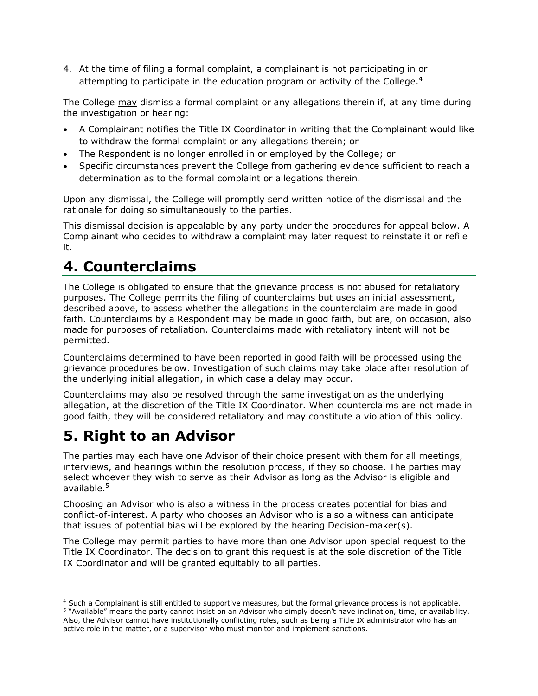4. At the time of filing a formal complaint, a complainant is not participating in or attempting to participate in the education program or activity of the College.<sup>4</sup>

The College may dismiss a formal complaint or any allegations therein if, at any time during the investigation or hearing:

- A Complainant notifies the Title IX Coordinator in writing that the Complainant would like to withdraw the formal complaint or any allegations therein; or
- The Respondent is no longer enrolled in or employed by the College; or
- Specific circumstances prevent the College from gathering evidence sufficient to reach a determination as to the formal complaint or allegations therein.

Upon any dismissal, the College will promptly send written notice of the dismissal and the rationale for doing so simultaneously to the parties.

This dismissal decision is appealable by any party under the procedures for appeal below. A Complainant who decides to withdraw a complaint may later request to reinstate it or refile it.

### **4. Counterclaims**

The College is obligated to ensure that the grievance process is not abused for retaliatory purposes. The College permits the filing of counterclaims but uses an initial assessment, described above, to assess whether the allegations in the counterclaim are made in good faith. Counterclaims by a Respondent may be made in good faith, but are, on occasion, also made for purposes of retaliation. Counterclaims made with retaliatory intent will not be permitted.

Counterclaims determined to have been reported in good faith will be processed using the grievance procedures below. Investigation of such claims may take place after resolution of the underlying initial allegation, in which case a delay may occur.

Counterclaims may also be resolved through the same investigation as the underlying allegation, at the discretion of the Title IX Coordinator. When counterclaims are not made in good faith, they will be considered retaliatory and may constitute a violation of this policy.

### **5. Right to an Advisor**

The parties may each have one Advisor of their choice present with them for all meetings, interviews, and hearings within the resolution process, if they so choose. The parties may select whoever they wish to serve as their Advisor as long as the Advisor is eligible and available.<sup>5</sup>

Choosing an Advisor who is also a witness in the process creates potential for bias and conflict-of-interest. A party who chooses an Advisor who is also a witness can anticipate that issues of potential bias will be explored by the hearing Decision-maker(s).

The College may permit parties to have more than one Advisor upon special request to the Title IX Coordinator. The decision to grant this request is at the sole discretion of the Title IX Coordinator and will be granted equitably to all parties.

<sup>&</sup>lt;sup>4</sup> Such a Complainant is still entitled to supportive measures, but the formal grievance process is not applicable. <sup>5</sup> "Available" means the party cannot insist on an Advisor who simply doesn't have inclination, time, or availability. Also, the Advisor cannot have institutionally conflicting roles, such as being a Title IX administrator who has an active role in the matter, or a supervisor who must monitor and implement sanctions.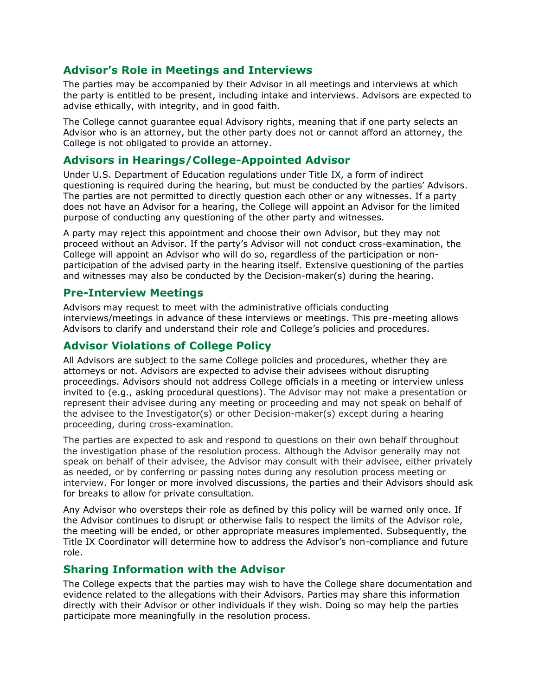#### **Advisor's Role in Meetings and Interviews**

The parties may be accompanied by their Advisor in all meetings and interviews at which the party is entitled to be present, including intake and interviews. Advisors are expected to advise ethically, with integrity, and in good faith.

The College cannot guarantee equal Advisory rights, meaning that if one party selects an Advisor who is an attorney, but the other party does not or cannot afford an attorney, the College is not obligated to provide an attorney.

#### **Advisors in Hearings/College-Appointed Advisor**

Under U.S. Department of Education regulations under Title IX, a form of indirect questioning is required during the hearing, but must be conducted by the parties' Advisors. The parties are not permitted to directly question each other or any witnesses. If a party does not have an Advisor for a hearing, the College will appoint an Advisor for the limited purpose of conducting any questioning of the other party and witnesses.

A party may reject this appointment and choose their own Advisor, but they may not proceed without an Advisor. If the party's Advisor will not conduct cross-examination, the College will appoint an Advisor who will do so, regardless of the participation or nonparticipation of the advised party in the hearing itself. Extensive questioning of the parties and witnesses may also be conducted by the Decision-maker(s) during the hearing.

#### **Pre-Interview Meetings**

Advisors may request to meet with the administrative officials conducting interviews/meetings in advance of these interviews or meetings. This pre-meeting allows Advisors to clarify and understand their role and College's policies and procedures.

#### **Advisor Violations of College Policy**

All Advisors are subject to the same College policies and procedures, whether they are attorneys or not. Advisors are expected to advise their advisees without disrupting proceedings. Advisors should not address College officials in a meeting or interview unless invited to (e.g., asking procedural questions). The Advisor may not make a presentation or represent their advisee during any meeting or proceeding and may not speak on behalf of the advisee to the Investigator(s) or other Decision-maker(s) except during a hearing proceeding, during cross-examination.

The parties are expected to ask and respond to questions on their own behalf throughout the investigation phase of the resolution process. Although the Advisor generally may not speak on behalf of their advisee, the Advisor may consult with their advisee, either privately as needed, or by conferring or passing notes during any resolution process meeting or interview. For longer or more involved discussions, the parties and their Advisors should ask for breaks to allow for private consultation.

Any Advisor who oversteps their role as defined by this policy will be warned only once. If the Advisor continues to disrupt or otherwise fails to respect the limits of the Advisor role, the meeting will be ended, or other appropriate measures implemented. Subsequently, the Title IX Coordinator will determine how to address the Advisor's non-compliance and future role.

#### **Sharing Information with the Advisor**

The College expects that the parties may wish to have the College share documentation and evidence related to the allegations with their Advisors. Parties may share this information directly with their Advisor or other individuals if they wish. Doing so may help the parties participate more meaningfully in the resolution process.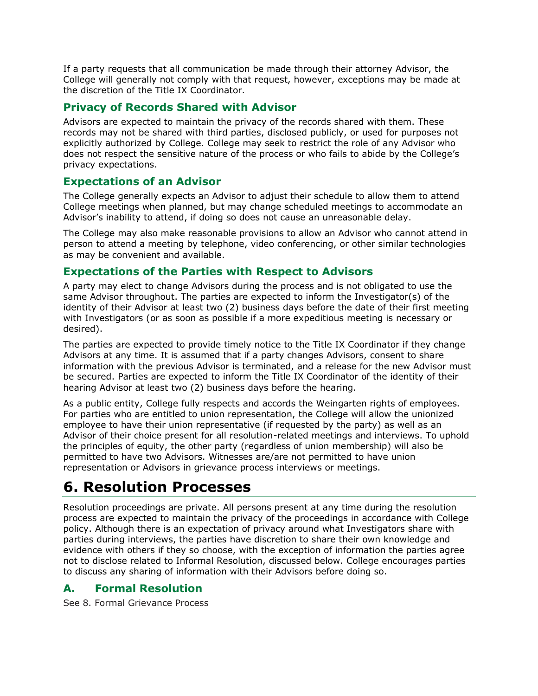If a party requests that all communication be made through their attorney Advisor, the College will generally not comply with that request, however, exceptions may be made at the discretion of the Title IX Coordinator.

#### **Privacy of Records Shared with Advisor**

Advisors are expected to maintain the privacy of the records shared with them. These records may not be shared with third parties, disclosed publicly, or used for purposes not explicitly authorized by College. College may seek to restrict the role of any Advisor who does not respect the sensitive nature of the process or who fails to abide by the College's privacy expectations.

#### **Expectations of an Advisor**

The College generally expects an Advisor to adjust their schedule to allow them to attend College meetings when planned, but may change scheduled meetings to accommodate an Advisor's inability to attend, if doing so does not cause an unreasonable delay.

The College may also make reasonable provisions to allow an Advisor who cannot attend in person to attend a meeting by telephone, video conferencing, or other similar technologies as may be convenient and available.

#### **Expectations of the Parties with Respect to Advisors**

A party may elect to change Advisors during the process and is not obligated to use the same Advisor throughout. The parties are expected to inform the Investigator(s) of the identity of their Advisor at least two (2) business days before the date of their first meeting with Investigators (or as soon as possible if a more expeditious meeting is necessary or desired).

The parties are expected to provide timely notice to the Title IX Coordinator if they change Advisors at any time. It is assumed that if a party changes Advisors, consent to share information with the previous Advisor is terminated, and a release for the new Advisor must be secured. Parties are expected to inform the Title IX Coordinator of the identity of their hearing Advisor at least two (2) business days before the hearing.

As a public entity, College fully respects and accords the Weingarten rights of employees. For parties who are entitled to union representation, the College will allow the unionized employee to have their union representative (if requested by the party) as well as an Advisor of their choice present for all resolution-related meetings and interviews. To uphold the principles of equity, the other party (regardless of union membership) will also be permitted to have two Advisors. Witnesses are/are not permitted to have union representation or Advisors in grievance process interviews or meetings.

### **6. Resolution Processes**

Resolution proceedings are private. All persons present at any time during the resolution process are expected to maintain the privacy of the proceedings in accordance with College policy. Although there is an expectation of privacy around what Investigators share with parties during interviews, the parties have discretion to share their own knowledge and evidence with others if they so choose, with the exception of information the parties agree not to disclose related to Informal Resolution, discussed below. College encourages parties to discuss any sharing of information with their Advisors before doing so.

#### **A. Formal Resolution**

See 8. Formal Grievance Process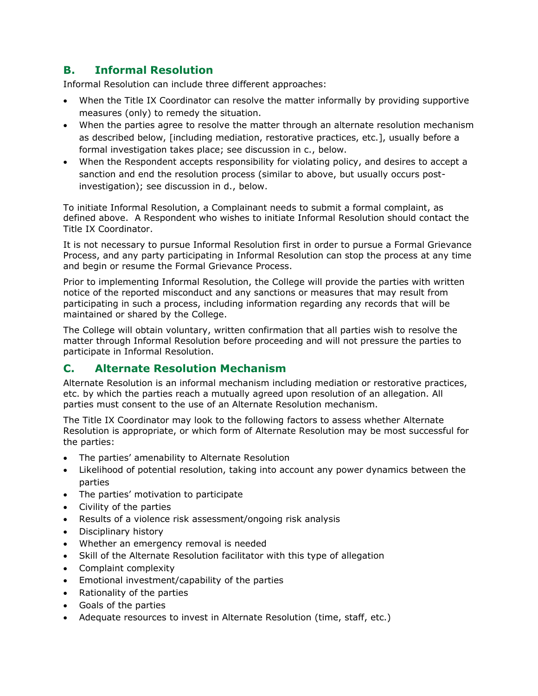#### **B. Informal Resolution**

Informal Resolution can include three different approaches:

- When the Title IX Coordinator can resolve the matter informally by providing supportive measures (only) to remedy the situation.
- When the parties agree to resolve the matter through an alternate resolution mechanism as described below, [including mediation, restorative practices, etc.], usually before a formal investigation takes place; see discussion in c., below.
- When the Respondent accepts responsibility for violating policy, and desires to accept a sanction and end the resolution process (similar to above, but usually occurs postinvestigation); see discussion in d., below.

To initiate Informal Resolution, a Complainant needs to submit a formal complaint, as defined above. A Respondent who wishes to initiate Informal Resolution should contact the Title IX Coordinator.

It is not necessary to pursue Informal Resolution first in order to pursue a Formal Grievance Process, and any party participating in Informal Resolution can stop the process at any time and begin or resume the Formal Grievance Process.

Prior to implementing Informal Resolution, the College will provide the parties with written notice of the reported misconduct and any sanctions or measures that may result from participating in such a process, including information regarding any records that will be maintained or shared by the College.

The College will obtain voluntary, written confirmation that all parties wish to resolve the matter through Informal Resolution before proceeding and will not pressure the parties to participate in Informal Resolution.

#### **C. Alternate Resolution Mechanism**

Alternate Resolution is an informal mechanism including mediation or restorative practices, etc. by which the parties reach a mutually agreed upon resolution of an allegation. All parties must consent to the use of an Alternate Resolution mechanism.

The Title IX Coordinator may look to the following factors to assess whether Alternate Resolution is appropriate, or which form of Alternate Resolution may be most successful for the parties:

- The parties' amenability to Alternate Resolution
- Likelihood of potential resolution, taking into account any power dynamics between the parties
- The parties' motivation to participate
- Civility of the parties
- Results of a violence risk assessment/ongoing risk analysis
- Disciplinary history
- Whether an emergency removal is needed
- Skill of the Alternate Resolution facilitator with this type of allegation
- Complaint complexity
- Emotional investment/capability of the parties
- Rationality of the parties
- Goals of the parties
- Adequate resources to invest in Alternate Resolution (time, staff, etc.)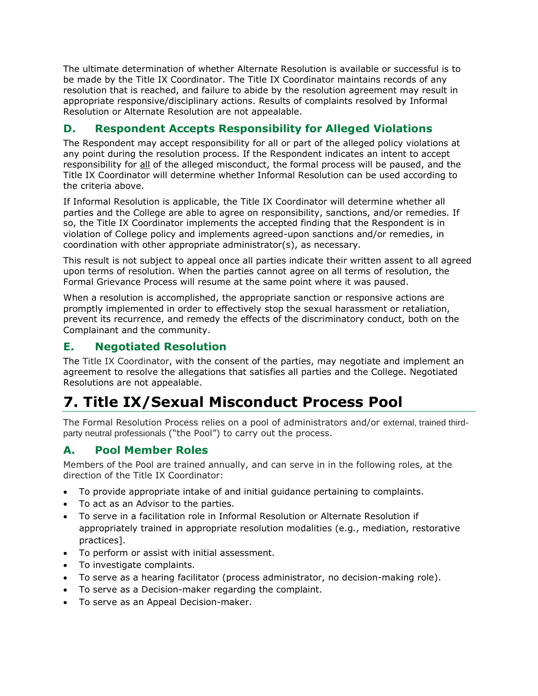The ultimate determination of whether Alternate Resolution is available or successful is to be made by the Title IX Coordinator. The Title IX Coordinator maintains records of any resolution that is reached, and failure to abide by the resolution agreement may result in appropriate responsive/disciplinary actions. Results of complaints resolved by Informal Resolution or Alternate Resolution are not appealable.

#### **D. Respondent Accepts Responsibility for Alleged Violations**

The Respondent may accept responsibility for all or part of the alleged policy violations at any point during the resolution process. If the Respondent indicates an intent to accept responsibility for all of the alleged misconduct, the formal process will be paused, and the Title IX Coordinator will determine whether Informal Resolution can be used according to the criteria above.

If Informal Resolution is applicable, the Title IX Coordinator will determine whether all parties and the College are able to agree on responsibility, sanctions, and/or remedies. If so, the Title IX Coordinator implements the accepted finding that the Respondent is in violation of College policy and implements agreed-upon sanctions and/or remedies, in coordination with other appropriate administrator(s), as necessary.

This result is not subject to appeal once all parties indicate their written assent to all agreed upon terms of resolution. When the parties cannot agree on all terms of resolution, the Formal Grievance Process will resume at the same point where it was paused.

When a resolution is accomplished, the appropriate sanction or responsive actions are promptly implemented in order to effectively stop the sexual harassment or retaliation, prevent its recurrence, and remedy the effects of the discriminatory conduct, both on the Complainant and the community.

#### **E. Negotiated Resolution**

The Title IX Coordinator, with the consent of the parties, may negotiate and implement an agreement to resolve the allegations that satisfies all parties and the College. Negotiated Resolutions are not appealable.

# **7. Title IX/Sexual Misconduct Process Pool**

The Formal Resolution Process relies on a pool of administrators and/or external, trained thirdparty neutral professionals ("the Pool") to carry out the process.

#### **A. Pool Member Roles**

Members of the Pool are trained annually, and can serve in in the following roles, at the direction of the Title IX Coordinator:

- To provide appropriate intake of and initial guidance pertaining to complaints.
- To act as an Advisor to the parties.
- To serve in a facilitation role in Informal Resolution or Alternate Resolution if appropriately trained in appropriate resolution modalities (e.g., mediation, restorative practices].
- To perform or assist with initial assessment.
- To investigate complaints.
- To serve as a hearing facilitator (process administrator, no decision-making role).
- To serve as a Decision-maker regarding the complaint.
- To serve as an Appeal Decision-maker.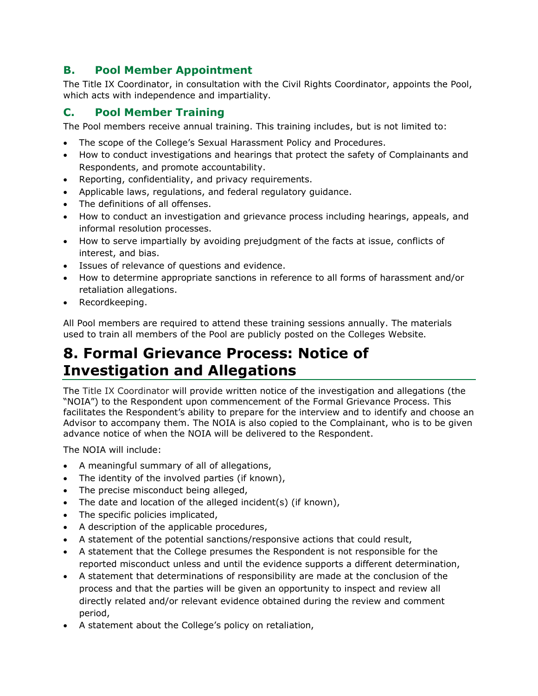#### **B. Pool Member Appointment**

The Title IX Coordinator, in consultation with the Civil Rights Coordinator, appoints the Pool, which acts with independence and impartiality.

#### **C. Pool Member Training**

The Pool members receive annual training. This training includes, but is not limited to:

- The scope of the College's Sexual Harassment Policy and Procedures.
- How to conduct investigations and hearings that protect the safety of Complainants and Respondents, and promote accountability.
- Reporting, confidentiality, and privacy requirements.
- Applicable laws, regulations, and federal regulatory guidance.
- The definitions of all offenses.
- How to conduct an investigation and grievance process including hearings, appeals, and informal resolution processes.
- How to serve impartially by avoiding prejudgment of the facts at issue, conflicts of interest, and bias.
- Issues of relevance of questions and evidence.
- How to determine appropriate sanctions in reference to all forms of harassment and/or retaliation allegations.
- Recordkeeping.

All Pool members are required to attend these training sessions annually. The materials used to train all members of the Pool are publicly posted on the Colleges Website.

### **8. Formal Grievance Process: Notice of Investigation and Allegations**

The Title IX Coordinator will provide written notice of the investigation and allegations (the "NOIA") to the Respondent upon commencement of the Formal Grievance Process. This facilitates the Respondent's ability to prepare for the interview and to identify and choose an Advisor to accompany them. The NOIA is also copied to the Complainant, who is to be given advance notice of when the NOIA will be delivered to the Respondent.

The NOIA will include:

- A meaningful summary of all of allegations,
- The identity of the involved parties (if known),
- The precise misconduct being alleged,
- The date and location of the alleged incident(s) (if known),
- The specific policies implicated,
- A description of the applicable procedures,
- A statement of the potential sanctions/responsive actions that could result,
- A statement that the College presumes the Respondent is not responsible for the reported misconduct unless and until the evidence supports a different determination,
- A statement that determinations of responsibility are made at the conclusion of the process and that the parties will be given an opportunity to inspect and review all directly related and/or relevant evidence obtained during the review and comment period,
- A statement about the College's policy on retaliation,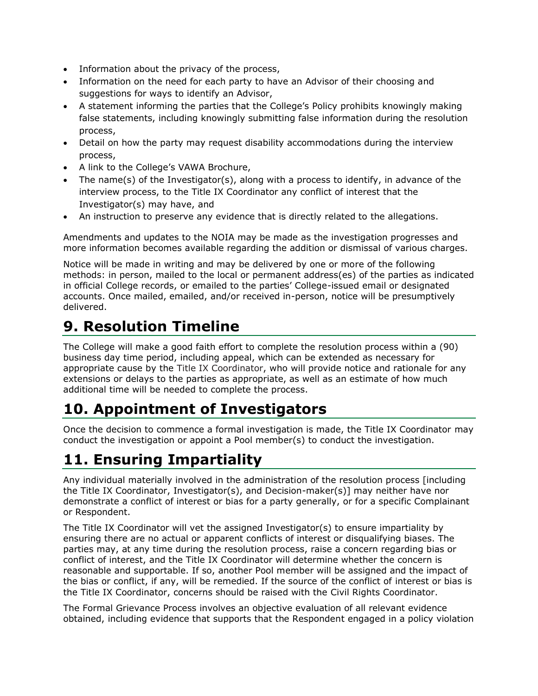- Information about the privacy of the process,
- Information on the need for each party to have an Advisor of their choosing and suggestions for ways to identify an Advisor,
- A statement informing the parties that the College's Policy prohibits knowingly making false statements, including knowingly submitting false information during the resolution process,
- Detail on how the party may request disability accommodations during the interview process,
- A link to the College's VAWA Brochure,
- The name(s) of the Investigator(s), along with a process to identify, in advance of the interview process, to the Title IX Coordinator any conflict of interest that the Investigator(s) may have, and
- An instruction to preserve any evidence that is directly related to the allegations.

Amendments and updates to the NOIA may be made as the investigation progresses and more information becomes available regarding the addition or dismissal of various charges.

Notice will be made in writing and may be delivered by one or more of the following methods: in person, mailed to the local or permanent address(es) of the parties as indicated in official College records, or emailed to the parties' College-issued email or designated accounts. Once mailed, emailed, and/or received in-person, notice will be presumptively delivered.

### **9. Resolution Timeline**

The College will make a good faith effort to complete the resolution process within a (90) business day time period, including appeal, which can be extended as necessary for appropriate cause by the Title IX Coordinator, who will provide notice and rationale for any extensions or delays to the parties as appropriate, as well as an estimate of how much additional time will be needed to complete the process.

# **10. Appointment of Investigators**

Once the decision to commence a formal investigation is made, the Title IX Coordinator may conduct the investigation or appoint a Pool member(s) to conduct the investigation.

# **11. Ensuring Impartiality**

Any individual materially involved in the administration of the resolution process [including the Title IX Coordinator, Investigator(s), and Decision-maker(s)] may neither have nor demonstrate a conflict of interest or bias for a party generally, or for a specific Complainant or Respondent.

The Title IX Coordinator will vet the assigned Investigator(s) to ensure impartiality by ensuring there are no actual or apparent conflicts of interest or disqualifying biases. The parties may, at any time during the resolution process, raise a concern regarding bias or conflict of interest, and the Title IX Coordinator will determine whether the concern is reasonable and supportable. If so, another Pool member will be assigned and the impact of the bias or conflict, if any, will be remedied. If the source of the conflict of interest or bias is the Title IX Coordinator, concerns should be raised with the Civil Rights Coordinator.

The Formal Grievance Process involves an objective evaluation of all relevant evidence obtained, including evidence that supports that the Respondent engaged in a policy violation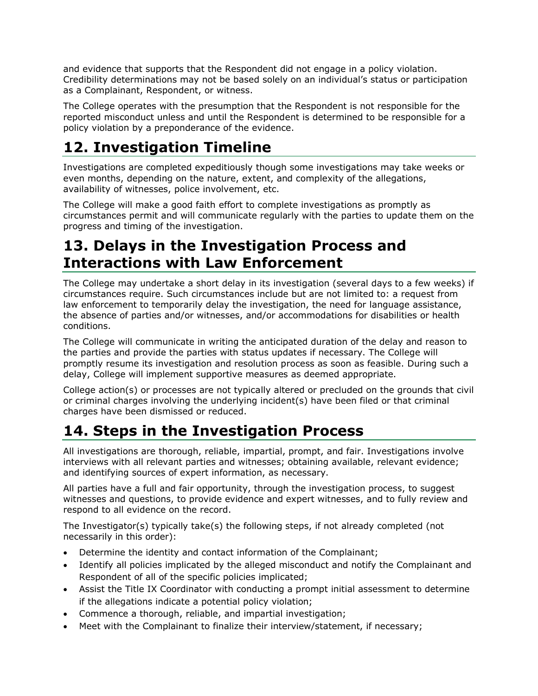and evidence that supports that the Respondent did not engage in a policy violation. Credibility determinations may not be based solely on an individual's status or participation as a Complainant, Respondent, or witness.

The College operates with the presumption that the Respondent is not responsible for the reported misconduct unless and until the Respondent is determined to be responsible for a policy violation by a preponderance of the evidence.

# **12. Investigation Timeline**

Investigations are completed expeditiously though some investigations may take weeks or even months, depending on the nature, extent, and complexity of the allegations, availability of witnesses, police involvement, etc.

The College will make a good faith effort to complete investigations as promptly as circumstances permit and will communicate regularly with the parties to update them on the progress and timing of the investigation.

### **13. Delays in the Investigation Process and Interactions with Law Enforcement**

The College may undertake a short delay in its investigation (several days to a few weeks) if circumstances require. Such circumstances include but are not limited to: a request from law enforcement to temporarily delay the investigation, the need for language assistance, the absence of parties and/or witnesses, and/or accommodations for disabilities or health conditions.

The College will communicate in writing the anticipated duration of the delay and reason to the parties and provide the parties with status updates if necessary. The College will promptly resume its investigation and resolution process as soon as feasible. During such a delay, College will implement supportive measures as deemed appropriate.

College action(s) or processes are not typically altered or precluded on the grounds that civil or criminal charges involving the underlying incident(s) have been filed or that criminal charges have been dismissed or reduced.

# **14. Steps in the Investigation Process**

All investigations are thorough, reliable, impartial, prompt, and fair. Investigations involve interviews with all relevant parties and witnesses; obtaining available, relevant evidence; and identifying sources of expert information, as necessary.

All parties have a full and fair opportunity, through the investigation process, to suggest witnesses and questions, to provide evidence and expert witnesses, and to fully review and respond to all evidence on the record.

The Investigator(s) typically take(s) the following steps, if not already completed (not necessarily in this order):

- Determine the identity and contact information of the Complainant;
- Identify all policies implicated by the alleged misconduct and notify the Complainant and Respondent of all of the specific policies implicated;
- Assist the Title IX Coordinator with conducting a prompt initial assessment to determine if the allegations indicate a potential policy violation;
- Commence a thorough, reliable, and impartial investigation;
- Meet with the Complainant to finalize their interview/statement, if necessary;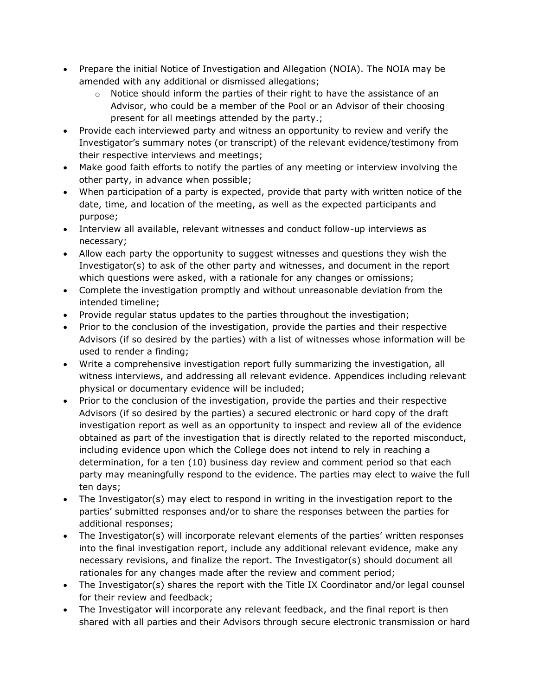- Prepare the initial Notice of Investigation and Allegation (NOIA). The NOIA may be amended with any additional or dismissed allegations;
	- $\circ$  Notice should inform the parties of their right to have the assistance of an Advisor, who could be a member of the Pool or an Advisor of their choosing present for all meetings attended by the party.;
- Provide each interviewed party and witness an opportunity to review and verify the Investigator's summary notes (or transcript) of the relevant evidence/testimony from their respective interviews and meetings;
- Make good faith efforts to notify the parties of any meeting or interview involving the other party, in advance when possible;
- When participation of a party is expected, provide that party with written notice of the date, time, and location of the meeting, as well as the expected participants and purpose;
- Interview all available, relevant witnesses and conduct follow-up interviews as necessary;
- Allow each party the opportunity to suggest witnesses and questions they wish the Investigator(s) to ask of the other party and witnesses, and document in the report which questions were asked, with a rationale for any changes or omissions;
- Complete the investigation promptly and without unreasonable deviation from the intended timeline;
- Provide regular status updates to the parties throughout the investigation;
- Prior to the conclusion of the investigation, provide the parties and their respective Advisors (if so desired by the parties) with a list of witnesses whose information will be used to render a finding;
- Write a comprehensive investigation report fully summarizing the investigation, all witness interviews, and addressing all relevant evidence. Appendices including relevant physical or documentary evidence will be included;
- Prior to the conclusion of the investigation, provide the parties and their respective Advisors (if so desired by the parties) a secured electronic or hard copy of the draft investigation report as well as an opportunity to inspect and review all of the evidence obtained as part of the investigation that is directly related to the reported misconduct, including evidence upon which the College does not intend to rely in reaching a determination, for a ten (10) business day review and comment period so that each party may meaningfully respond to the evidence. The parties may elect to waive the full ten days;
- The Investigator(s) may elect to respond in writing in the investigation report to the parties' submitted responses and/or to share the responses between the parties for additional responses;
- The Investigator(s) will incorporate relevant elements of the parties' written responses into the final investigation report, include any additional relevant evidence, make any necessary revisions, and finalize the report. The Investigator(s) should document all rationales for any changes made after the review and comment period;
- The Investigator(s) shares the report with the Title IX Coordinator and/or legal counsel for their review and feedback;
- The Investigator will incorporate any relevant feedback, and the final report is then shared with all parties and their Advisors through secure electronic transmission or hard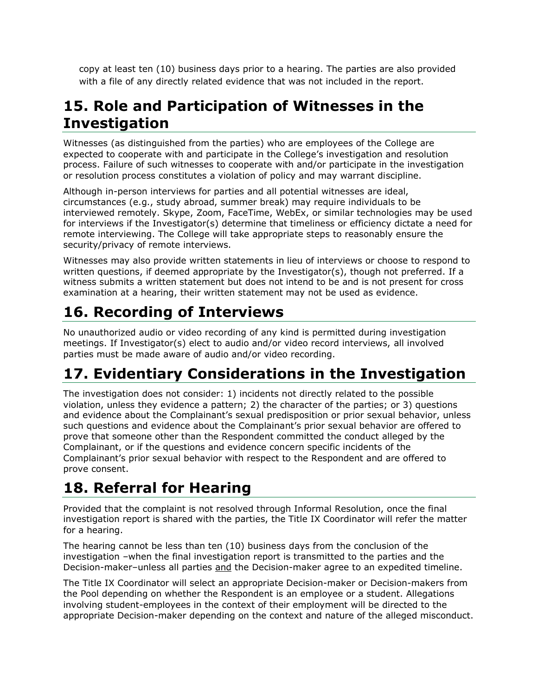copy at least ten (10) business days prior to a hearing. The parties are also provided with a file of any directly related evidence that was not included in the report.

### **15. Role and Participation of Witnesses in the Investigation**

Witnesses (as distinguished from the parties) who are employees of the College are expected to cooperate with and participate in the College's investigation and resolution process. Failure of such witnesses to cooperate with and/or participate in the investigation or resolution process constitutes a violation of policy and may warrant discipline.

Although in-person interviews for parties and all potential witnesses are ideal, circumstances (e.g., study abroad, summer break) may require individuals to be interviewed remotely. Skype, Zoom, FaceTime, WebEx, or similar technologies may be used for interviews if the Investigator(s) determine that timeliness or efficiency dictate a need for remote interviewing. The College will take appropriate steps to reasonably ensure the security/privacy of remote interviews.

Witnesses may also provide written statements in lieu of interviews or choose to respond to written questions, if deemed appropriate by the Investigator(s), though not preferred. If a witness submits a written statement but does not intend to be and is not present for cross examination at a hearing, their written statement may not be used as evidence.

# **16. Recording of Interviews**

No unauthorized audio or video recording of any kind is permitted during investigation meetings. If Investigator(s) elect to audio and/or video record interviews, all involved parties must be made aware of audio and/or video recording.

# **17. Evidentiary Considerations in the Investigation**

The investigation does not consider: 1) incidents not directly related to the possible violation, unless they evidence a pattern; 2) the character of the parties; or 3) questions and evidence about the Complainant's sexual predisposition or prior sexual behavior, unless such questions and evidence about the Complainant's prior sexual behavior are offered to prove that someone other than the Respondent committed the conduct alleged by the Complainant, or if the questions and evidence concern specific incidents of the Complainant's prior sexual behavior with respect to the Respondent and are offered to prove consent.

# **18. Referral for Hearing**

Provided that the complaint is not resolved through Informal Resolution, once the final investigation report is shared with the parties, the Title IX Coordinator will refer the matter for a hearing.

The hearing cannot be less than ten (10) business days from the conclusion of the investigation –when the final investigation report is transmitted to the parties and the Decision-maker–unless all parties and the Decision-maker agree to an expedited timeline.

The Title IX Coordinator will select an appropriate Decision-maker or Decision-makers from the Pool depending on whether the Respondent is an employee or a student. Allegations involving student-employees in the context of their employment will be directed to the appropriate Decision-maker depending on the context and nature of the alleged misconduct.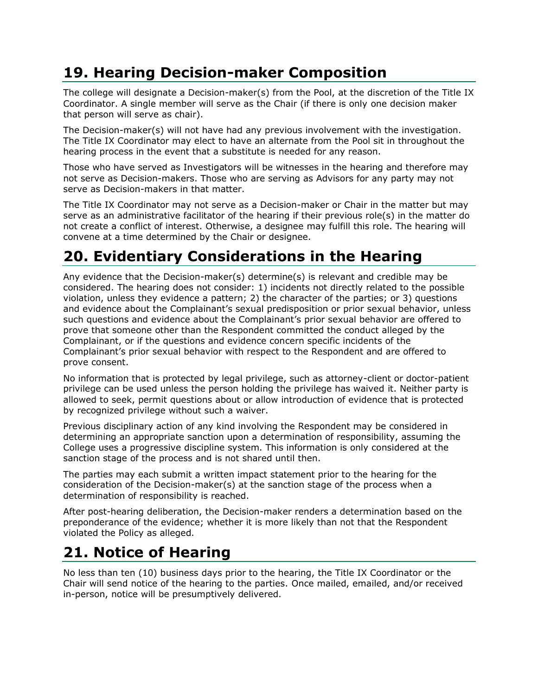# **19. Hearing Decision-maker Composition**

The college will designate a Decision-maker(s) from the Pool, at the discretion of the Title IX Coordinator. A single member will serve as the Chair (if there is only one decision maker that person will serve as chair).

The Decision-maker(s) will not have had any previous involvement with the investigation. The Title IX Coordinator may elect to have an alternate from the Pool sit in throughout the hearing process in the event that a substitute is needed for any reason.

Those who have served as Investigators will be witnesses in the hearing and therefore may not serve as Decision-makers. Those who are serving as Advisors for any party may not serve as Decision-makers in that matter.

The Title IX Coordinator may not serve as a Decision-maker or Chair in the matter but may serve as an administrative facilitator of the hearing if their previous role(s) in the matter do not create a conflict of interest. Otherwise, a designee may fulfill this role. The hearing will convene at a time determined by the Chair or designee.

# **20. Evidentiary Considerations in the Hearing**

Any evidence that the Decision-maker(s) determine(s) is relevant and credible may be considered. The hearing does not consider: 1) incidents not directly related to the possible violation, unless they evidence a pattern; 2) the character of the parties; or 3) questions and evidence about the Complainant's sexual predisposition or prior sexual behavior, unless such questions and evidence about the Complainant's prior sexual behavior are offered to prove that someone other than the Respondent committed the conduct alleged by the Complainant, or if the questions and evidence concern specific incidents of the Complainant's prior sexual behavior with respect to the Respondent and are offered to prove consent.

No information that is protected by legal privilege, such as attorney-client or doctor-patient privilege can be used unless the person holding the privilege has waived it. Neither party is allowed to seek, permit questions about or allow introduction of evidence that is protected by recognized privilege without such a waiver.

Previous disciplinary action of any kind involving the Respondent may be considered in determining an appropriate sanction upon a determination of responsibility, assuming the College uses a progressive discipline system. This information is only considered at the sanction stage of the process and is not shared until then.

The parties may each submit a written impact statement prior to the hearing for the consideration of the Decision-maker(s) at the sanction stage of the process when a determination of responsibility is reached.

After post-hearing deliberation, the Decision-maker renders a determination based on the preponderance of the evidence; whether it is more likely than not that the Respondent violated the Policy as alleged.

### **21. Notice of Hearing**

No less than ten (10) business days prior to the hearing, the Title IX Coordinator or the Chair will send notice of the hearing to the parties. Once mailed, emailed, and/or received in-person, notice will be presumptively delivered.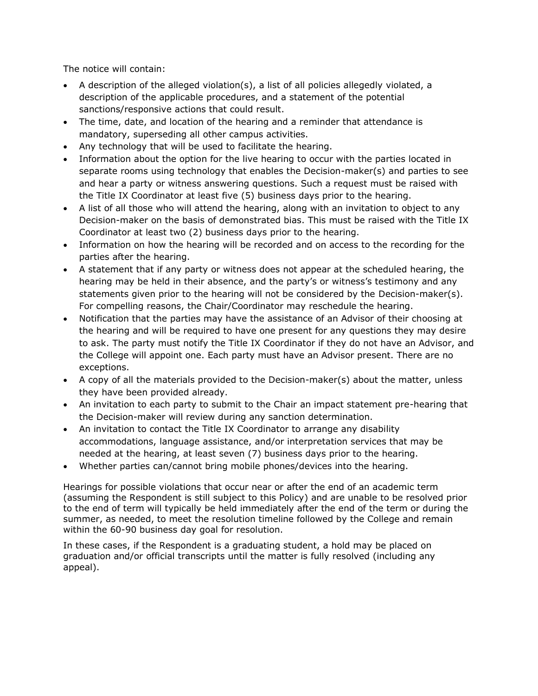The notice will contain:

- A description of the alleged violation(s), a list of all policies allegedly violated, a description of the applicable procedures, and a statement of the potential sanctions/responsive actions that could result.
- The time, date, and location of the hearing and a reminder that attendance is mandatory, superseding all other campus activities.
- Any technology that will be used to facilitate the hearing.
- Information about the option for the live hearing to occur with the parties located in separate rooms using technology that enables the Decision-maker(s) and parties to see and hear a party or witness answering questions. Such a request must be raised with the Title IX Coordinator at least five (5) business days prior to the hearing.
- A list of all those who will attend the hearing, along with an invitation to object to any Decision-maker on the basis of demonstrated bias. This must be raised with the Title IX Coordinator at least two (2) business days prior to the hearing.
- Information on how the hearing will be recorded and on access to the recording for the parties after the hearing.
- A statement that if any party or witness does not appear at the scheduled hearing, the hearing may be held in their absence, and the party's or witness's testimony and any statements given prior to the hearing will not be considered by the Decision-maker(s). For compelling reasons, the Chair/Coordinator may reschedule the hearing.
- Notification that the parties may have the assistance of an Advisor of their choosing at the hearing and will be required to have one present for any questions they may desire to ask. The party must notify the Title IX Coordinator if they do not have an Advisor, and the College will appoint one. Each party must have an Advisor present. There are no exceptions.
- A copy of all the materials provided to the Decision-maker(s) about the matter, unless they have been provided already.
- An invitation to each party to submit to the Chair an impact statement pre-hearing that the Decision-maker will review during any sanction determination.
- An invitation to contact the Title IX Coordinator to arrange any disability accommodations, language assistance, and/or interpretation services that may be needed at the hearing, at least seven (7) business days prior to the hearing.
- Whether parties can/cannot bring mobile phones/devices into the hearing.

Hearings for possible violations that occur near or after the end of an academic term (assuming the Respondent is still subject to this Policy) and are unable to be resolved prior to the end of term will typically be held immediately after the end of the term or during the summer, as needed, to meet the resolution timeline followed by the College and remain within the 60-90 business day goal for resolution.

In these cases, if the Respondent is a graduating student, a hold may be placed on graduation and/or official transcripts until the matter is fully resolved (including any appeal).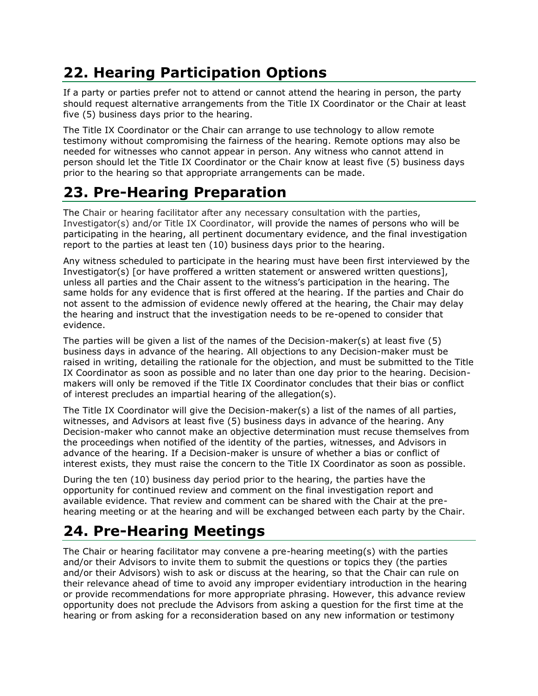# **22. Hearing Participation Options**

If a party or parties prefer not to attend or cannot attend the hearing in person, the party should request alternative arrangements from the Title IX Coordinator or the Chair at least five (5) business days prior to the hearing.

The Title IX Coordinator or the Chair can arrange to use technology to allow remote testimony without compromising the fairness of the hearing. Remote options may also be needed for witnesses who cannot appear in person. Any witness who cannot attend in person should let the Title IX Coordinator or the Chair know at least five (5) business days prior to the hearing so that appropriate arrangements can be made.

# **23. Pre-Hearing Preparation**

The Chair or hearing facilitator after any necessary consultation with the parties, Investigator(s) and/or Title IX Coordinator, will provide the names of persons who will be participating in the hearing, all pertinent documentary evidence, and the final investigation report to the parties at least ten (10) business days prior to the hearing.

Any witness scheduled to participate in the hearing must have been first interviewed by the Investigator(s) [or have proffered a written statement or answered written questions], unless all parties and the Chair assent to the witness's participation in the hearing. The same holds for any evidence that is first offered at the hearing. If the parties and Chair do not assent to the admission of evidence newly offered at the hearing, the Chair may delay the hearing and instruct that the investigation needs to be re-opened to consider that evidence.

The parties will be given a list of the names of the Decision-maker(s) at least five (5) business days in advance of the hearing. All objections to any Decision-maker must be raised in writing, detailing the rationale for the objection, and must be submitted to the Title IX Coordinator as soon as possible and no later than one day prior to the hearing. Decisionmakers will only be removed if the Title IX Coordinator concludes that their bias or conflict of interest precludes an impartial hearing of the allegation(s).

The Title IX Coordinator will give the Decision-maker(s) a list of the names of all parties, witnesses, and Advisors at least five (5) business days in advance of the hearing. Any Decision-maker who cannot make an objective determination must recuse themselves from the proceedings when notified of the identity of the parties, witnesses, and Advisors in advance of the hearing. If a Decision-maker is unsure of whether a bias or conflict of interest exists, they must raise the concern to the Title IX Coordinator as soon as possible.

During the ten (10) business day period prior to the hearing, the parties have the opportunity for continued review and comment on the final investigation report and available evidence. That review and comment can be shared with the Chair at the prehearing meeting or at the hearing and will be exchanged between each party by the Chair.

# **24. Pre-Hearing Meetings**

The Chair or hearing facilitator may convene a pre-hearing meeting(s) with the parties and/or their Advisors to invite them to submit the questions or topics they (the parties and/or their Advisors) wish to ask or discuss at the hearing, so that the Chair can rule on their relevance ahead of time to avoid any improper evidentiary introduction in the hearing or provide recommendations for more appropriate phrasing. However, this advance review opportunity does not preclude the Advisors from asking a question for the first time at the hearing or from asking for a reconsideration based on any new information or testimony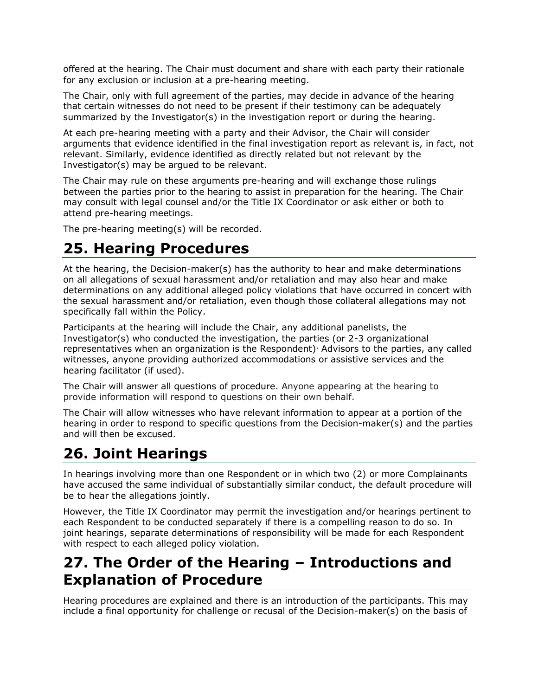offered at the hearing. The Chair must document and share with each party their rationale for any exclusion or inclusion at a pre-hearing meeting.

The Chair, only with full agreement of the parties, may decide in advance of the hearing that certain witnesses do not need to be present if their testimony can be adequately summarized by the Investigator(s) in the investigation report or during the hearing.

At each pre-hearing meeting with a party and their Advisor, the Chair will consider arguments that evidence identified in the final investigation report as relevant is, in fact, not relevant. Similarly, evidence identified as directly related but not relevant by the Investigator(s) may be argued to be relevant.

The Chair may rule on these arguments pre-hearing and will exchange those rulings between the parties prior to the hearing to assist in preparation for the hearing. The Chair may consult with legal counsel and/or the Title IX Coordinator or ask either or both to attend pre-hearing meetings.

The pre-hearing meeting(s) will be recorded.

# **25. Hearing Procedures**

At the hearing, the Decision-maker(s) has the authority to hear and make determinations on all allegations of sexual harassment and/or retaliation and may also hear and make determinations on any additional alleged policy violations that have occurred in concert with the sexual harassment and/or retaliation, even though those collateral allegations may not specifically fall within the Policy.

Participants at the hearing will include the Chair, any additional panelists, the Investigator(s) who conducted the investigation, the parties (or 2-3 organizational representatives when an organization is the Respondent) $\ell$  Advisors to the parties, any called witnesses, anyone providing authorized accommodations or assistive services and the hearing facilitator (if used).

The Chair will answer all questions of procedure. Anyone appearing at the hearing to provide information will respond to questions on their own behalf.

The Chair will allow witnesses who have relevant information to appear at a portion of the hearing in order to respond to specific questions from the Decision-maker(s) and the parties and will then be excused.

#### **26. Joint Hearings**

In hearings involving more than one Respondent or in which two (2) or more Complainants have accused the same individual of substantially similar conduct, the default procedure will be to hear the allegations jointly.

However, the Title IX Coordinator may permit the investigation and/or hearings pertinent to each Respondent to be conducted separately if there is a compelling reason to do so. In joint hearings, separate determinations of responsibility will be made for each Respondent with respect to each alleged policy violation.

### **27. The Order of the Hearing – Introductions and Explanation of Procedure**

Hearing procedures are explained and there is an introduction of the participants. This may include a final opportunity for challenge or recusal of the Decision-maker(s) on the basis of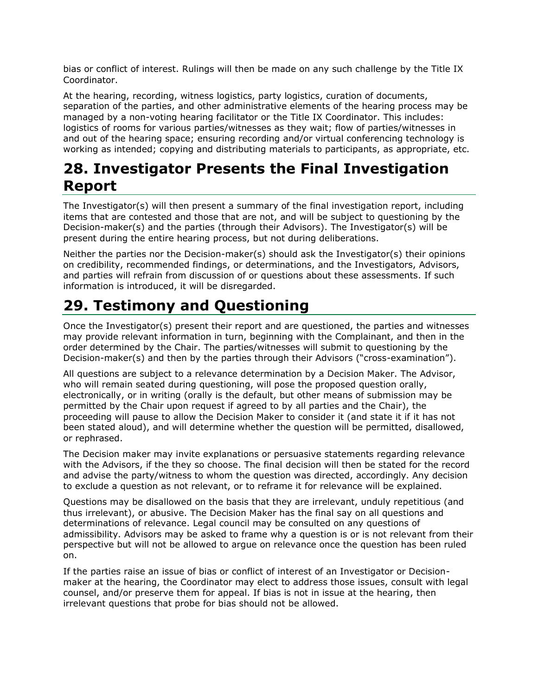bias or conflict of interest. Rulings will then be made on any such challenge by the Title IX Coordinator.

At the hearing, recording, witness logistics, party logistics, curation of documents, separation of the parties, and other administrative elements of the hearing process may be managed by a non-voting hearing facilitator or the Title IX Coordinator. This includes: logistics of rooms for various parties/witnesses as they wait; flow of parties/witnesses in and out of the hearing space; ensuring recording and/or virtual conferencing technology is working as intended; copying and distributing materials to participants, as appropriate, etc.

### **28. Investigator Presents the Final Investigation Report**

The Investigator(s) will then present a summary of the final investigation report, including items that are contested and those that are not, and will be subject to questioning by the Decision-maker(s) and the parties (through their Advisors). The Investigator(s) will be present during the entire hearing process, but not during deliberations.

Neither the parties nor the Decision-maker(s) should ask the Investigator(s) their opinions on credibility, recommended findings, or determinations, and the Investigators, Advisors, and parties will refrain from discussion of or questions about these assessments. If such information is introduced, it will be disregarded.

# **29. Testimony and Questioning**

Once the Investigator(s) present their report and are questioned, the parties and witnesses may provide relevant information in turn, beginning with the Complainant, and then in the order determined by the Chair. The parties/witnesses will submit to questioning by the Decision-maker(s) and then by the parties through their Advisors ("cross-examination").

All questions are subject to a relevance determination by a Decision Maker. The Advisor, who will remain seated during questioning, will pose the proposed question orally, electronically, or in writing (orally is the default, but other means of submission may be permitted by the Chair upon request if agreed to by all parties and the Chair), the proceeding will pause to allow the Decision Maker to consider it (and state it if it has not been stated aloud), and will determine whether the question will be permitted, disallowed, or rephrased.

The Decision maker may invite explanations or persuasive statements regarding relevance with the Advisors, if the they so choose. The final decision will then be stated for the record and advise the party/witness to whom the question was directed, accordingly. Any decision to exclude a question as not relevant, or to reframe it for relevance will be explained.

Questions may be disallowed on the basis that they are irrelevant, unduly repetitious (and thus irrelevant), or abusive. The Decision Maker has the final say on all questions and determinations of relevance. Legal council may be consulted on any questions of admissibility. Advisors may be asked to frame why a question is or is not relevant from their perspective but will not be allowed to argue on relevance once the question has been ruled on.

If the parties raise an issue of bias or conflict of interest of an Investigator or Decisionmaker at the hearing, the Coordinator may elect to address those issues, consult with legal counsel, and/or preserve them for appeal. If bias is not in issue at the hearing, then irrelevant questions that probe for bias should not be allowed.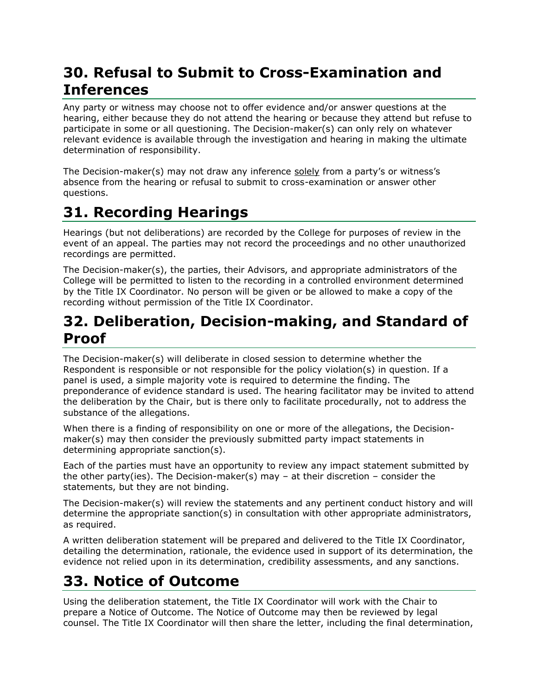### **30. Refusal to Submit to Cross-Examination and Inferences**

Any party or witness may choose not to offer evidence and/or answer questions at the hearing, either because they do not attend the hearing or because they attend but refuse to participate in some or all questioning. The Decision-maker(s) can only rely on whatever relevant evidence is available through the investigation and hearing in making the ultimate determination of responsibility.

The Decision-maker(s) may not draw any inference solely from a party's or witness's absence from the hearing or refusal to submit to cross-examination or answer other questions.

# **31. Recording Hearings**

Hearings (but not deliberations) are recorded by the College for purposes of review in the event of an appeal. The parties may not record the proceedings and no other unauthorized recordings are permitted.

The Decision-maker(s), the parties, their Advisors, and appropriate administrators of the College will be permitted to listen to the recording in a controlled environment determined by the Title IX Coordinator. No person will be given or be allowed to make a copy of the recording without permission of the Title IX Coordinator.

### **32. Deliberation, Decision-making, and Standard of Proof**

The Decision-maker(s) will deliberate in closed session to determine whether the Respondent is responsible or not responsible for the policy violation(s) in question. If a panel is used, a simple majority vote is required to determine the finding. The preponderance of evidence standard is used. The hearing facilitator may be invited to attend the deliberation by the Chair, but is there only to facilitate procedurally, not to address the substance of the allegations.

When there is a finding of responsibility on one or more of the allegations, the Decisionmaker(s) may then consider the previously submitted party impact statements in determining appropriate sanction(s).

Each of the parties must have an opportunity to review any impact statement submitted by the other party(ies). The Decision-maker(s) may  $-$  at their discretion  $-$  consider the statements, but they are not binding.

The Decision-maker(s) will review the statements and any pertinent conduct history and will determine the appropriate sanction(s) in consultation with other appropriate administrators, as required.

A written deliberation statement will be prepared and delivered to the Title IX Coordinator, detailing the determination, rationale, the evidence used in support of its determination, the evidence not relied upon in its determination, credibility assessments, and any sanctions.

# **33. Notice of Outcome**

Using the deliberation statement, the Title IX Coordinator will work with the Chair to prepare a Notice of Outcome. The Notice of Outcome may then be reviewed by legal counsel. The Title IX Coordinator will then share the letter, including the final determination,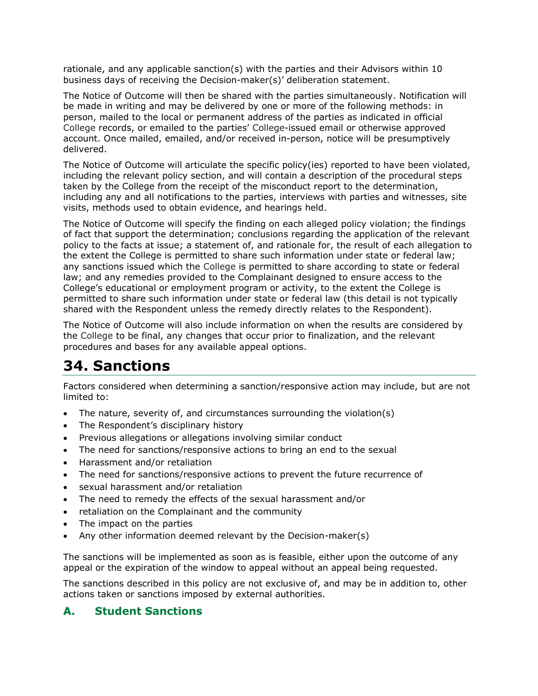rationale, and any applicable sanction(s) with the parties and their Advisors within 10 business days of receiving the Decision-maker(s)' deliberation statement.

The Notice of Outcome will then be shared with the parties simultaneously. Notification will be made in writing and may be delivered by one or more of the following methods: in person, mailed to the local or permanent address of the parties as indicated in official College records, or emailed to the parties' College-issued email or otherwise approved account. Once mailed, emailed, and/or received in-person, notice will be presumptively delivered.

The Notice of Outcome will articulate the specific policy(ies) reported to have been violated, including the relevant policy section, and will contain a description of the procedural steps taken by the College from the receipt of the misconduct report to the determination, including any and all notifications to the parties, interviews with parties and witnesses, site visits, methods used to obtain evidence, and hearings held.

The Notice of Outcome will specify the finding on each alleged policy violation; the findings of fact that support the determination; conclusions regarding the application of the relevant policy to the facts at issue; a statement of, and rationale for, the result of each allegation to the extent the College is permitted to share such information under state or federal law; any sanctions issued which the College is permitted to share according to state or federal law; and any remedies provided to the Complainant designed to ensure access to the College's educational or employment program or activity, to the extent the College is permitted to share such information under state or federal law (this detail is not typically shared with the Respondent unless the remedy directly relates to the Respondent).

The Notice of Outcome will also include information on when the results are considered by the College to be final, any changes that occur prior to finalization, and the relevant procedures and bases for any available appeal options.

### **34. Sanctions**

Factors considered when determining a sanction/responsive action may include, but are not limited to:

- The nature, severity of, and circumstances surrounding the violation(s)
- The Respondent's disciplinary history
- Previous allegations or allegations involving similar conduct
- The need for sanctions/responsive actions to bring an end to the sexual
- Harassment and/or retaliation
- The need for sanctions/responsive actions to prevent the future recurrence of
- sexual harassment and/or retaliation
- The need to remedy the effects of the sexual harassment and/or
- retaliation on the Complainant and the community
- The impact on the parties
- Any other information deemed relevant by the Decision-maker(s)

The sanctions will be implemented as soon as is feasible, either upon the outcome of any appeal or the expiration of the window to appeal without an appeal being requested.

The sanctions described in this policy are not exclusive of, and may be in addition to, other actions taken or sanctions imposed by external authorities.

#### **A. Student Sanctions**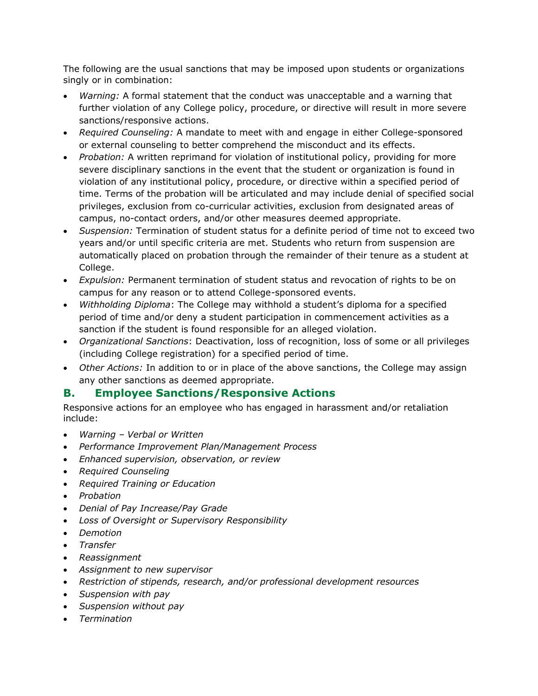The following are the usual sanctions that may be imposed upon students or organizations singly or in combination:

- *Warning:* A formal statement that the conduct was unacceptable and a warning that further violation of any College policy, procedure, or directive will result in more severe sanctions/responsive actions.
- *Required Counseling:* A mandate to meet with and engage in either College-sponsored or external counseling to better comprehend the misconduct and its effects.
- *Probation:* A written reprimand for violation of institutional policy, providing for more severe disciplinary sanctions in the event that the student or organization is found in violation of any institutional policy, procedure, or directive within a specified period of time. Terms of the probation will be articulated and may include denial of specified social privileges, exclusion from co-curricular activities, exclusion from designated areas of campus, no-contact orders, and/or other measures deemed appropriate.
- *Suspension:* Termination of student status for a definite period of time not to exceed two years and/or until specific criteria are met. Students who return from suspension are automatically placed on probation through the remainder of their tenure as a student at College.
- *Expulsion:* Permanent termination of student status and revocation of rights to be on campus for any reason or to attend College-sponsored events.
- *Withholding Diploma*: The College may withhold a student's diploma for a specified period of time and/or deny a student participation in commencement activities as a sanction if the student is found responsible for an alleged violation.
- *Organizational Sanctions*: Deactivation, loss of recognition, loss of some or all privileges (including College registration) for a specified period of time.
- *Other Actions:* In addition to or in place of the above sanctions, the College may assign any other sanctions as deemed appropriate.

#### **B. Employee Sanctions/Responsive Actions**

Responsive actions for an employee who has engaged in harassment and/or retaliation include:

- *Warning – Verbal or Written*
- *Performance Improvement Plan/Management Process*
- *Enhanced supervision, observation, or review*
- *Required Counseling*
- *Required Training or Education*
- *Probation*
- *Denial of Pay Increase/Pay Grade*
- *Loss of Oversight or Supervisory Responsibility*
- *Demotion*
- *Transfer*
- *Reassignment*
- *Assignment to new supervisor*
- *Restriction of stipends, research, and/or professional development resources*
- *Suspension with pay*
- *Suspension without pay*
- *Termination*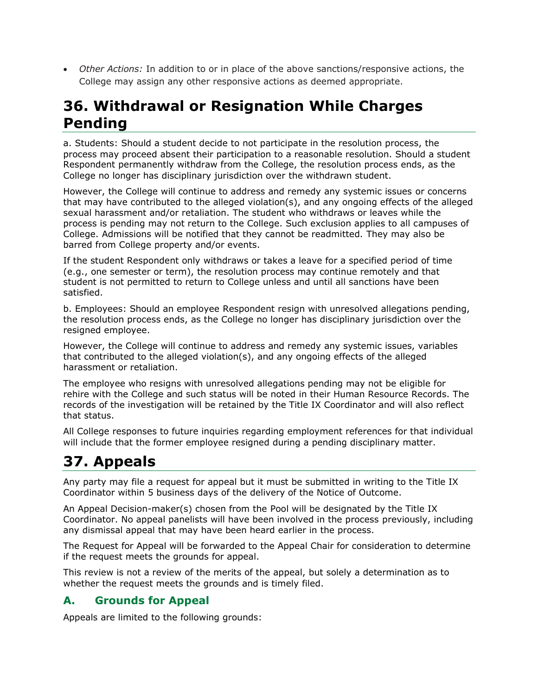• *Other Actions:* In addition to or in place of the above sanctions/responsive actions, the College may assign any other responsive actions as deemed appropriate.

### **36. Withdrawal or Resignation While Charges Pending**

a. Students: Should a student decide to not participate in the resolution process, the process may proceed absent their participation to a reasonable resolution. Should a student Respondent permanently withdraw from the College, the resolution process ends, as the College no longer has disciplinary jurisdiction over the withdrawn student.

However, the College will continue to address and remedy any systemic issues or concerns that may have contributed to the alleged violation(s), and any ongoing effects of the alleged sexual harassment and/or retaliation. The student who withdraws or leaves while the process is pending may not return to the College. Such exclusion applies to all campuses of College. Admissions will be notified that they cannot be readmitted. They may also be barred from College property and/or events.

If the student Respondent only withdraws or takes a leave for a specified period of time (e.g., one semester or term), the resolution process may continue remotely and that student is not permitted to return to College unless and until all sanctions have been satisfied.

b. Employees: Should an employee Respondent resign with unresolved allegations pending, the resolution process ends, as the College no longer has disciplinary jurisdiction over the resigned employee.

However, the College will continue to address and remedy any systemic issues, variables that contributed to the alleged violation(s), and any ongoing effects of the alleged harassment or retaliation.

The employee who resigns with unresolved allegations pending may not be eligible for rehire with the College and such status will be noted in their Human Resource Records. The records of the investigation will be retained by the Title IX Coordinator and will also reflect that status.

All College responses to future inquiries regarding employment references for that individual will include that the former employee resigned during a pending disciplinary matter.

# **37. Appeals**

Any party may file a request for appeal but it must be submitted in writing to the Title IX Coordinator within 5 business days of the delivery of the Notice of Outcome.

An Appeal Decision-maker(s) chosen from the Pool will be designated by the Title IX Coordinator. No appeal panelists will have been involved in the process previously, including any dismissal appeal that may have been heard earlier in the process.

The Request for Appeal will be forwarded to the Appeal Chair for consideration to determine if the request meets the grounds for appeal.

This review is not a review of the merits of the appeal, but solely a determination as to whether the request meets the grounds and is timely filed.

#### **A. Grounds for Appeal**

Appeals are limited to the following grounds: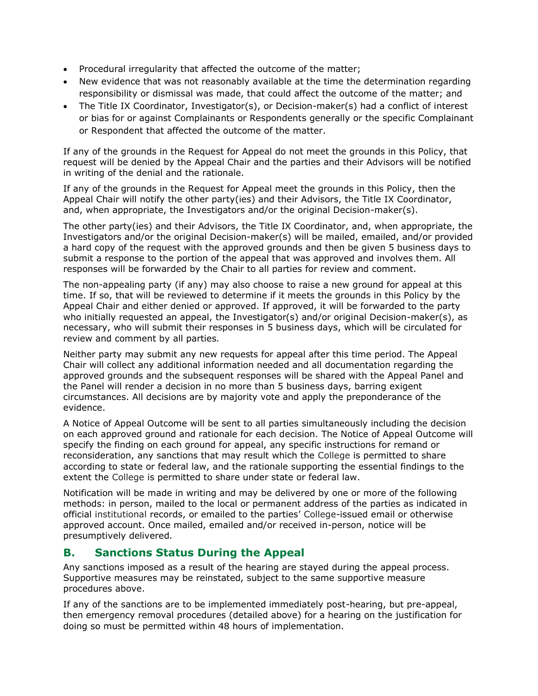- Procedural irregularity that affected the outcome of the matter;
- New evidence that was not reasonably available at the time the determination regarding responsibility or dismissal was made, that could affect the outcome of the matter; and
- The Title IX Coordinator, Investigator(s), or Decision-maker(s) had a conflict of interest or bias for or against Complainants or Respondents generally or the specific Complainant or Respondent that affected the outcome of the matter.

If any of the grounds in the Request for Appeal do not meet the grounds in this Policy, that request will be denied by the Appeal Chair and the parties and their Advisors will be notified in writing of the denial and the rationale.

If any of the grounds in the Request for Appeal meet the grounds in this Policy, then the Appeal Chair will notify the other party(ies) and their Advisors, the Title IX Coordinator, and, when appropriate, the Investigators and/or the original Decision-maker(s).

The other party(ies) and their Advisors, the Title IX Coordinator, and, when appropriate, the Investigators and/or the original Decision-maker(s) will be mailed, emailed, and/or provided a hard copy of the request with the approved grounds and then be given 5 business days to submit a response to the portion of the appeal that was approved and involves them. All responses will be forwarded by the Chair to all parties for review and comment.

The non-appealing party (if any) may also choose to raise a new ground for appeal at this time. If so, that will be reviewed to determine if it meets the grounds in this Policy by the Appeal Chair and either denied or approved. If approved, it will be forwarded to the party who initially requested an appeal, the Investigator(s) and/or original Decision-maker(s), as necessary, who will submit their responses in 5 business days, which will be circulated for review and comment by all parties.

Neither party may submit any new requests for appeal after this time period. The Appeal Chair will collect any additional information needed and all documentation regarding the approved grounds and the subsequent responses will be shared with the Appeal Panel and the Panel will render a decision in no more than 5 business days, barring exigent circumstances. All decisions are by majority vote and apply the preponderance of the evidence.

A Notice of Appeal Outcome will be sent to all parties simultaneously including the decision on each approved ground and rationale for each decision. The Notice of Appeal Outcome will specify the finding on each ground for appeal, any specific instructions for remand or reconsideration, any sanctions that may result which the College is permitted to share according to state or federal law, and the rationale supporting the essential findings to the extent the College is permitted to share under state or federal law.

Notification will be made in writing and may be delivered by one or more of the following methods: in person, mailed to the local or permanent address of the parties as indicated in official institutional records, or emailed to the parties' College-issued email or otherwise approved account. Once mailed, emailed and/or received in-person, notice will be presumptively delivered.

#### **B. Sanctions Status During the Appeal**

Any sanctions imposed as a result of the hearing are stayed during the appeal process. Supportive measures may be reinstated, subject to the same supportive measure procedures above.

If any of the sanctions are to be implemented immediately post-hearing, but pre-appeal, then emergency removal procedures (detailed above) for a hearing on the justification for doing so must be permitted within 48 hours of implementation.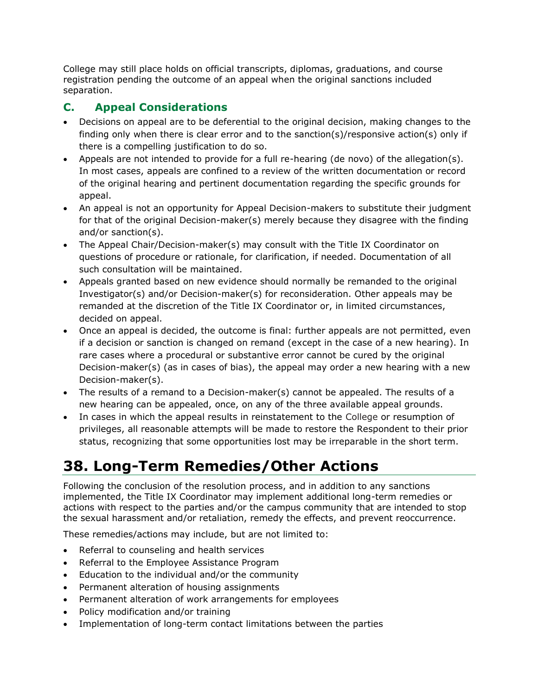College may still place holds on official transcripts, diplomas, graduations, and course registration pending the outcome of an appeal when the original sanctions included separation.

#### **C. Appeal Considerations**

- Decisions on appeal are to be deferential to the original decision, making changes to the finding only when there is clear error and to the sanction(s)/responsive action(s) only if there is a compelling justification to do so.
- Appeals are not intended to provide for a full re-hearing (de novo) of the allegation(s). In most cases, appeals are confined to a review of the written documentation or record of the original hearing and pertinent documentation regarding the specific grounds for appeal.
- An appeal is not an opportunity for Appeal Decision-makers to substitute their judgment for that of the original Decision-maker(s) merely because they disagree with the finding and/or sanction(s).
- The Appeal Chair/Decision-maker(s) may consult with the Title IX Coordinator on questions of procedure or rationale, for clarification, if needed. Documentation of all such consultation will be maintained.
- Appeals granted based on new evidence should normally be remanded to the original Investigator(s) and/or Decision-maker(s) for reconsideration. Other appeals may be remanded at the discretion of the Title IX Coordinator or, in limited circumstances, decided on appeal.
- Once an appeal is decided, the outcome is final: further appeals are not permitted, even if a decision or sanction is changed on remand (except in the case of a new hearing). In rare cases where a procedural or substantive error cannot be cured by the original Decision-maker(s) (as in cases of bias), the appeal may order a new hearing with a new Decision-maker(s).
- The results of a remand to a Decision-maker(s) cannot be appealed. The results of a new hearing can be appealed, once, on any of the three available appeal grounds.
- In cases in which the appeal results in reinstatement to the College or resumption of privileges, all reasonable attempts will be made to restore the Respondent to their prior status, recognizing that some opportunities lost may be irreparable in the short term.

# **38. Long-Term Remedies/Other Actions**

Following the conclusion of the resolution process, and in addition to any sanctions implemented, the Title IX Coordinator may implement additional long-term remedies or actions with respect to the parties and/or the campus community that are intended to stop the sexual harassment and/or retaliation, remedy the effects, and prevent reoccurrence.

These remedies/actions may include, but are not limited to:

- Referral to counseling and health services
- Referral to the Employee Assistance Program
- Education to the individual and/or the community
- Permanent alteration of housing assignments
- Permanent alteration of work arrangements for employees
- Policy modification and/or training
- Implementation of long-term contact limitations between the parties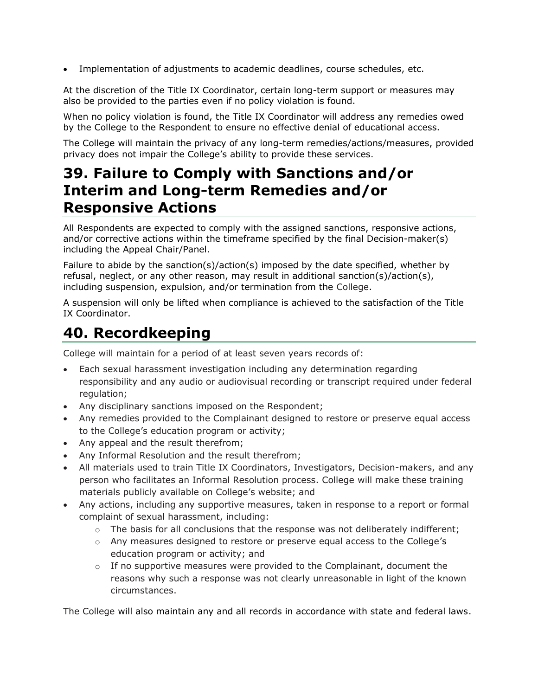• Implementation of adjustments to academic deadlines, course schedules, etc.

At the discretion of the Title IX Coordinator, certain long-term support or measures may also be provided to the parties even if no policy violation is found.

When no policy violation is found, the Title IX Coordinator will address any remedies owed by the College to the Respondent to ensure no effective denial of educational access.

The College will maintain the privacy of any long-term remedies/actions/measures, provided privacy does not impair the College's ability to provide these services.

### **39. Failure to Comply with Sanctions and/or Interim and Long-term Remedies and/or Responsive Actions**

All Respondents are expected to comply with the assigned sanctions, responsive actions, and/or corrective actions within the timeframe specified by the final Decision-maker(s) including the Appeal Chair/Panel.

Failure to abide by the sanction(s)/action(s) imposed by the date specified, whether by refusal, neglect, or any other reason, may result in additional sanction(s)/action(s), including suspension, expulsion, and/or termination from the College.

A suspension will only be lifted when compliance is achieved to the satisfaction of the Title IX Coordinator.

### **40. Recordkeeping**

College will maintain for a period of at least seven years records of:

- Each sexual harassment investigation including any determination regarding responsibility and any audio or audiovisual recording or transcript required under federal regulation;
- Any disciplinary sanctions imposed on the Respondent;
- Any remedies provided to the Complainant designed to restore or preserve equal access to the College's education program or activity;
- Any appeal and the result therefrom;
- Any Informal Resolution and the result therefrom;
- All materials used to train Title IX Coordinators, Investigators, Decision-makers, and any person who facilitates an Informal Resolution process. College will make these training materials publicly available on College's website; and
- Any actions, including any supportive measures, taken in response to a report or formal complaint of sexual harassment, including:
	- $\circ$  The basis for all conclusions that the response was not deliberately indifferent;
	- o Any measures designed to restore or preserve equal access to the College's education program or activity; and
	- $\circ$  If no supportive measures were provided to the Complainant, document the reasons why such a response was not clearly unreasonable in light of the known circumstances.

The College will also maintain any and all records in accordance with state and federal laws.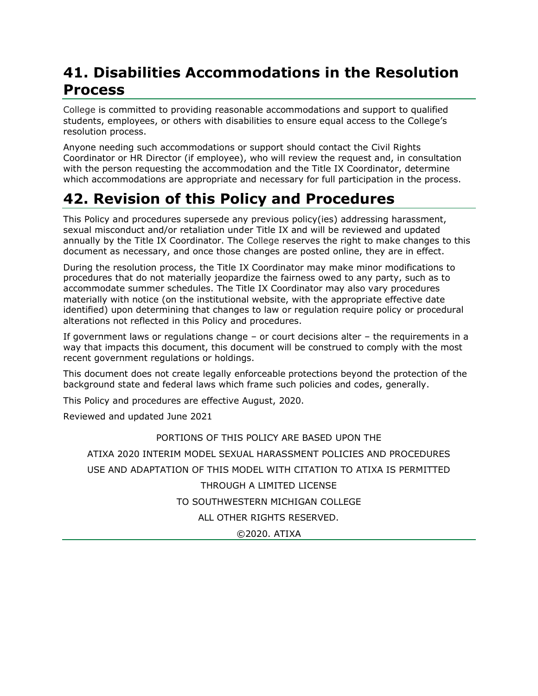## **41. Disabilities Accommodations in the Resolution Process**

College is committed to providing reasonable accommodations and support to qualified students, employees, or others with disabilities to ensure equal access to the College's resolution process.

Anyone needing such accommodations or support should contact the Civil Rights Coordinator or HR Director (if employee), who will review the request and, in consultation with the person requesting the accommodation and the Title IX Coordinator, determine which accommodations are appropriate and necessary for full participation in the process.

# **42. Revision of this Policy and Procedures**

This Policy and procedures supersede any previous policy(ies) addressing harassment, sexual misconduct and/or retaliation under Title IX and will be reviewed and updated annually by the Title IX Coordinator. The College reserves the right to make changes to this document as necessary, and once those changes are posted online, they are in effect.

During the resolution process, the Title IX Coordinator may make minor modifications to procedures that do not materially jeopardize the fairness owed to any party, such as to accommodate summer schedules. The Title IX Coordinator may also vary procedures materially with notice (on the institutional website, with the appropriate effective date identified) upon determining that changes to law or regulation require policy or procedural alterations not reflected in this Policy and procedures.

If government laws or regulations change – or court decisions alter – the requirements in a way that impacts this document, this document will be construed to comply with the most recent government regulations or holdings.

This document does not create legally enforceable protections beyond the protection of the background state and federal laws which frame such policies and codes, generally.

This Policy and procedures are effective August, 2020.

Reviewed and updated June 2021

#### PORTIONS OF THIS POLICY ARE BASED UPON THE

ATIXA 2020 INTERIM MODEL SEXUAL HARASSMENT POLICIES AND PROCEDURES USE AND ADAPTATION OF THIS MODEL WITH CITATION TO ATIXA IS PERMITTED THROUGH A LIMITED LICENSE TO SOUTHWESTERN MICHIGAN COLLEGE ALL OTHER RIGHTS RESERVED.

©2020. ATIXA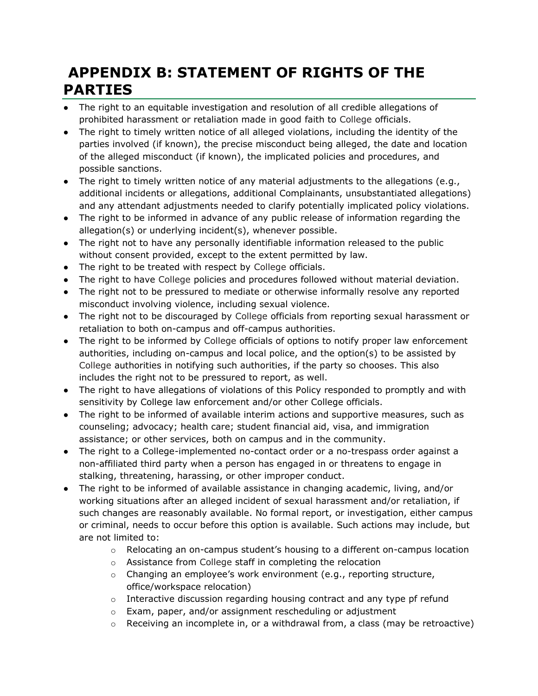# **APPENDIX B: STATEMENT OF RIGHTS OF THE PARTIES**

- The right to an equitable investigation and resolution of all credible allegations of prohibited harassment or retaliation made in good faith to College officials.
- The right to timely written notice of all alleged violations, including the identity of the parties involved (if known), the precise misconduct being alleged, the date and location of the alleged misconduct (if known), the implicated policies and procedures, and possible sanctions.
- The right to timely written notice of any material adjustments to the allegations (e.g., additional incidents or allegations, additional Complainants, unsubstantiated allegations) and any attendant adjustments needed to clarify potentially implicated policy violations.
- The right to be informed in advance of any public release of information regarding the allegation(s) or underlying incident(s), whenever possible.
- The right not to have any personally identifiable information released to the public without consent provided, except to the extent permitted by law.
- The right to be treated with respect by College officials.
- The right to have College policies and procedures followed without material deviation.
- The right not to be pressured to mediate or otherwise informally resolve any reported misconduct involving violence, including sexual violence.
- The right not to be discouraged by College officials from reporting sexual harassment or retaliation to both on-campus and off-campus authorities.
- The right to be informed by College officials of options to notify proper law enforcement authorities, including on-campus and local police, and the option(s) to be assisted by College authorities in notifying such authorities, if the party so chooses. This also includes the right not to be pressured to report, as well.
- The right to have allegations of violations of this Policy responded to promptly and with sensitivity by College law enforcement and/or other College officials.
- The right to be informed of available interim actions and supportive measures, such as counseling; advocacy; health care; student financial aid, visa, and immigration assistance; or other services, both on campus and in the community.
- The right to a College-implemented no-contact order or a no-trespass order against a non-affiliated third party when a person has engaged in or threatens to engage in stalking, threatening, harassing, or other improper conduct.
- The right to be informed of available assistance in changing academic, living, and/or working situations after an alleged incident of sexual harassment and/or retaliation, if such changes are reasonably available. No formal report, or investigation, either campus or criminal, needs to occur before this option is available. Such actions may include, but are not limited to:
	- $\circ$  Relocating an on-campus student's housing to a different on-campus location
	- o Assistance from College staff in completing the relocation
	- o Changing an employee's work environment (e.g., reporting structure, office/workspace relocation)
	- o Interactive discussion regarding housing contract and any type pf refund
	- o Exam, paper, and/or assignment rescheduling or adjustment
	- $\circ$  Receiving an incomplete in, or a withdrawal from, a class (may be retroactive)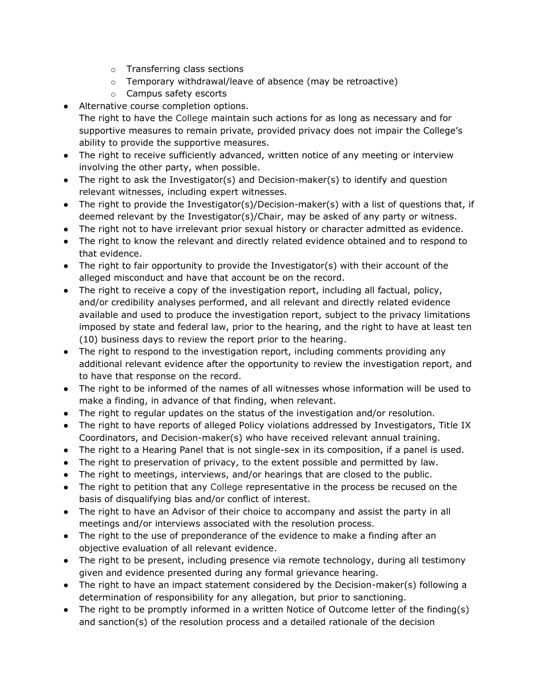- o Transferring class sections
- o Temporary withdrawal/leave of absence (may be retroactive)
- o Campus safety escorts
- Alternative course completion options.
- The right to have the College maintain such actions for as long as necessary and for supportive measures to remain private, provided privacy does not impair the College's ability to provide the supportive measures.
- The right to receive sufficiently advanced, written notice of any meeting or interview involving the other party, when possible.
- The right to ask the Investigator(s) and Decision-maker(s) to identify and question relevant witnesses, including expert witnesses.
- The right to provide the Investigator(s)/Decision-maker(s) with a list of questions that, if deemed relevant by the Investigator(s)/Chair, may be asked of any party or witness.
- The right not to have irrelevant prior sexual history or character admitted as evidence.
- The right to know the relevant and directly related evidence obtained and to respond to that evidence.
- The right to fair opportunity to provide the Investigator(s) with their account of the alleged misconduct and have that account be on the record.
- The right to receive a copy of the investigation report, including all factual, policy, and/or credibility analyses performed, and all relevant and directly related evidence available and used to produce the investigation report, subject to the privacy limitations imposed by state and federal law, prior to the hearing, and the right to have at least ten (10) business days to review the report prior to the hearing.
- The right to respond to the investigation report, including comments providing any additional relevant evidence after the opportunity to review the investigation report, and to have that response on the record.
- The right to be informed of the names of all witnesses whose information will be used to make a finding, in advance of that finding, when relevant.
- The right to regular updates on the status of the investigation and/or resolution.
- The right to have reports of alleged Policy violations addressed by Investigators, Title IX Coordinators, and Decision-maker(s) who have received relevant annual training.
- The right to a Hearing Panel that is not single-sex in its composition, if a panel is used.
- The right to preservation of privacy, to the extent possible and permitted by law.
- The right to meetings, interviews, and/or hearings that are closed to the public.
- The right to petition that any College representative in the process be recused on the basis of disqualifying bias and/or conflict of interest.
- The right to have an Advisor of their choice to accompany and assist the party in all meetings and/or interviews associated with the resolution process.
- The right to the use of preponderance of the evidence to make a finding after an objective evaluation of all relevant evidence.
- The right to be present, including presence via remote technology, during all testimony given and evidence presented during any formal grievance hearing.
- The right to have an impact statement considered by the Decision-maker(s) following a determination of responsibility for any allegation, but prior to sanctioning.
- The right to be promptly informed in a written Notice of Outcome letter of the finding(s) and sanction(s) of the resolution process and a detailed rationale of the decision